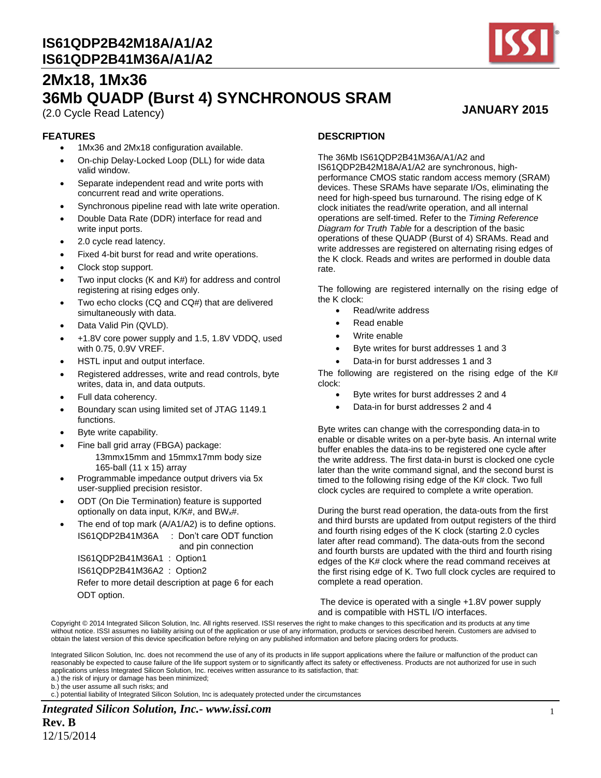

**JANUARY 2015**

# **2Mx18, 1Mx36 36Mb QUADP (Burst 4) SYNCHRONOUS SRAM**

(2.0 Cycle Read Latency)

#### **FEATURES**

- 1Mx36 and 2Mx18 configuration available.
- On-chip Delay-Locked Loop (DLL) for wide data valid window.
- Separate independent read and write ports with concurrent read and write operations.
- Synchronous pipeline read with late write operation.
- Double Data Rate (DDR) interface for read and write input ports.
- 2.0 cycle read latency.
- Fixed 4-bit burst for read and write operations.
- Clock stop support.
- Two input clocks (K and K#) for address and control registering at rising edges only.
- Two echo clocks (CQ and CQ#) that are delivered simultaneously with data.
- Data Valid Pin (QVLD).
- +1.8V core power supply and 1.5, 1.8V VDDQ, used with 0.75, 0.9V VREF.
- HSTL input and output interface.
- Registered addresses, write and read controls, byte writes, data in, and data outputs.
- Full data coherency.
- Boundary scan using limited set of JTAG 1149.1 functions.
- Byte write capability.
- Fine ball grid array (FBGA) package: 13mmx15mm and 15mmx17mm body size 165-ball (11 x 15) array
- Programmable impedance output drivers via 5x user-supplied precision resistor.
- ODT (On Die Termination) feature is supported optionally on data input, K/K#, and BW<sub>x</sub>#.
- The end of top mark (A/A1/A2) is to define options. IS61QDP2B41M36A : Don't care ODT function and pin connection

IS61QDP2B41M36A1 : Option1 IS61QDP2B41M36A2 : Option2 Refer to more detail description at page 6 for each

ODT option.

#### **DESCRIPTION**

The 36Mb IS61QDP2B41M36A/A1/A2 and IS61QDP2B42M18A/A1/A2 are synchronous, highperformance CMOS static random access memory (SRAM) devices. These SRAMs have separate I/Os, eliminating the need for high-speed bus turnaround. The rising edge of K clock initiates the read/write operation, and all internal operations are self-timed. Refer to the *Timing Reference Diagram for Truth Table* for a description of the basic operations of these QUADP (Burst of 4) SRAMs. Read and write addresses are registered on alternating rising edges of the K clock. Reads and writes are performed in double data rate.

The following are registered internally on the rising edge of the K clock:

- Read/write address
- Read enable
- Write enable
- Byte writes for burst addresses 1 and 3
- Data-in for burst addresses 1 and 3

The following are registered on the rising edge of the K# clock:

- Byte writes for burst addresses 2 and 4
- Data-in for burst addresses 2 and 4

Byte writes can change with the corresponding data-in to enable or disable writes on a per-byte basis. An internal write buffer enables the data-ins to be registered one cycle after the write address. The first data-in burst is clocked one cycle later than the write command signal, and the second burst is timed to the following rising edge of the K# clock. Two full clock cycles are required to complete a write operation.

During the burst read operation, the data-outs from the first and third bursts are updated from output registers of the third and fourth rising edges of the K clock (starting 2.0 cycles later after read command). The data-outs from the second and fourth bursts are updated with the third and fourth rising edges of the K# clock where the read command receives at the first rising edge of K. Two full clock cycles are required to complete a read operation.

The device is operated with a single +1.8V power supply and is compatible with HSTL I/O interfaces.

Copyright © 2014 Integrated Silicon Solution, Inc. All rights reserved. ISSI reserves the right to make changes to this specification and its products at any time without notice. ISSI assumes no liability arising out of the application or use of any information, products or services described herein. Customers are advised to obtain the latest version of this device specification before relying on any published information and before placing orders for products.

Integrated Silicon Solution, Inc. does not recommend the use of any of its products in life support applications where the failure or malfunction of the product can reasonably be expected to cause failure of the life support system or to significantly affect its safety or effectiveness. Products are not authorized for use in such applications unless Integrated Silicon Solution, Inc. receives written assurance to its satisfaction, that:

a.) the risk of injury or damage has been minimized;

b.) the user assume all such risks; and

c.) potential liability of Integrated Silicon Solution, Inc is adequately protected under the circumstances

*Integrated Silicon Solution, Inc.- www.issi.com* **Rev. B**

12/15/2014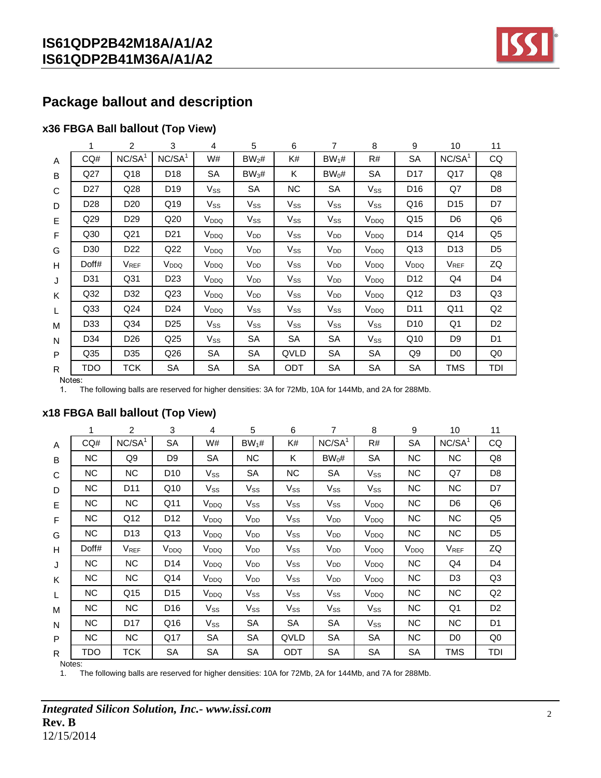

# **Package ballout and description**

### **x36 FBGA Ball ballout (Top View)**

|   |                 | 2                  | 3                  | 4                | 5                          | 6                          | 7               | 8                | 9                | 10                 | 11             |
|---|-----------------|--------------------|--------------------|------------------|----------------------------|----------------------------|-----------------|------------------|------------------|--------------------|----------------|
| A | CQ#             | NC/SA <sup>1</sup> | NC/SA <sup>1</sup> | W#               | BW <sub>2</sub> #          | K#                         | $BW_1#$         | R#               | <b>SA</b>        | NC/SA <sup>1</sup> | CQ             |
| B | Q27             | Q18                | D <sub>18</sub>    | <b>SA</b>        | $BW_3#$                    | K.                         | $BW_0#$         | <b>SA</b>        | D <sub>17</sub>  | Q17                | Q8             |
| C | D <sub>27</sub> | Q28                | D19                | $V_{SS}$         | SA                         | <b>NC</b>                  | SA              | $V_{SS}$         | D <sub>16</sub>  | Q7                 | D <sub>8</sub> |
| D | D <sub>28</sub> | D <sub>20</sub>    | Q19                | $V_{SS}$         | Vss                        | Vss                        | $V_{SS}$        | $V_{SS}$         | Q16              | D <sub>15</sub>    | D7             |
| E | Q <sub>29</sub> | D <sub>29</sub>    | Q20                | V <sub>DDQ</sub> | $\mathsf{V}_{\mathsf{SS}}$ | $V_{\rm SS}$               | $V_{SS}$        | V <sub>DDQ</sub> | Q15              | D <sub>6</sub>     | Q <sub>6</sub> |
| F | Q30             | Q <sub>21</sub>    | D21                | V <sub>DDQ</sub> | $V_{DD}$                   | $V_{\rm SS}$               | $V_{DD}$        | V <sub>DDQ</sub> | D14              | Q14                | Q5             |
| G | D <sub>30</sub> | D <sub>22</sub>    | Q22                | V <sub>DDQ</sub> | V <sub>DD</sub>            | $V_{SS}$                   | $V_{DD}$        | V <sub>DDQ</sub> | Q13              | D <sub>13</sub>    | D <sub>5</sub> |
| H | Doff#           | $V_{REF}$          | V <sub>DDQ</sub>   | V <sub>DDQ</sub> | $V_{DD}$                   | $V_{SS}$                   | $V_{DD}$        | V <sub>DDQ</sub> | V <sub>DDQ</sub> | V <sub>REF</sub>   | ZQ             |
| J | D31             | Q <sub>31</sub>    | D23                | V <sub>DDQ</sub> | $V_{DD}$                   | $\mathsf{V}_{\mathsf{SS}}$ | $V_{DD}$        | V <sub>DDQ</sub> | D <sub>12</sub>  | Q4                 | D <sub>4</sub> |
| K | Q <sub>32</sub> | D32                | Q <sub>23</sub>    | V <sub>DDQ</sub> | $V_{DD}$                   | Vss                        | $V_{DD}$        | V <sub>DDQ</sub> | Q12              | D <sub>3</sub>     | Q <sub>3</sub> |
| L | Q <sub>33</sub> | Q <sub>24</sub>    | D24                | V <sub>DDQ</sub> | $\mathsf{V}_{\mathsf{SS}}$ | $V_{SS}$                   | $V_{SS}$        | V <sub>DDQ</sub> | D <sub>11</sub>  | Q11                | Q2             |
| м | D33             | Q <sub>34</sub>    | D <sub>25</sub>    | $V_{SS}$         | $V_{SS}$                   | $V_{SS}$                   | V <sub>SS</sub> | $V_{SS}$         | D <sub>10</sub>  | Q1                 | D <sub>2</sub> |
| N | D <sub>34</sub> | D <sub>26</sub>    | Q25                | $V_{SS}$         | SA                         | SA                         | SA              | Vss              | Q10              | D <sub>9</sub>     | D1             |
| P | Q <sub>35</sub> | D35                | Q26                | SA               | <b>SA</b>                  | QVLD                       | SA              | SA               | Q9               | D <sub>0</sub>     | Q <sub>0</sub> |
| R | TDO             | тск                | SA                 | SA               | SА                         | ODT                        | SA              | SA               | SA               | TMS                | TDI            |

Notes:

The following balls are reserved for higher densities: 3A for 72Mb, 10A for 144Mb, and 2A for 288Mb.

|              | 1          | $\overline{2}$     | 3                | 4                | 5               | 6         | 7                  | 8                | 9                | 10                 | 11             |
|--------------|------------|--------------------|------------------|------------------|-----------------|-----------|--------------------|------------------|------------------|--------------------|----------------|
| $\mathsf{A}$ | CQ#        | NC/SA <sup>1</sup> | <b>SA</b>        | W#               | $BW_1#$         | K#        | NC/SA <sup>1</sup> | R#               | SA               | NC/SA <sup>1</sup> | CQ             |
| B            | <b>NC</b>  | Q9                 | D9               | SA               | <b>NC</b>       | K.        | $BW_0#$            | SA               | <b>NC</b>        | NC                 | Q8             |
| C            | <b>NC</b>  | <b>NC</b>          | D <sub>10</sub>  | $V_{SS}$         | SА              | <b>NC</b> | SA                 | $V_{SS}$         | <b>NC</b>        | Q7                 | D <sub>8</sub> |
| D            | NC.        | D <sub>11</sub>    | Q10              | $V_{SS}$         | $V_{SS}$        | $V_{SS}$  | $V_{SS}$           | $V_{SS}$         | NC.              | NC.                | D7             |
| E            | <b>NC</b>  | NC.                | Q11              | V <sub>DDQ</sub> | $V_{SS}$        | $V_{SS}$  | $V_{SS}$           | V <sub>DDQ</sub> | NC.              | D <sub>6</sub>     | Q6             |
| F            | NC.        | Q12                | D <sub>12</sub>  | V <sub>DDQ</sub> | V <sub>DD</sub> | $V_{SS}$  | $V_{DD}$           | V <sub>DDQ</sub> | <b>NC</b>        | NC                 | Q <sub>5</sub> |
| G            | NC.        | D <sub>13</sub>    | Q13              | V <sub>DDQ</sub> | $V_{DD}$        | $V_{SS}$  | V <sub>DD</sub>    | V <sub>DDQ</sub> | NC.              | <b>NC</b>          | D <sub>5</sub> |
| H            | Doff#      | V <sub>REF</sub>   | V <sub>DDQ</sub> | V <sub>DDQ</sub> | V <sub>DD</sub> | $V_{SS}$  | $V_{DD}$           | V <sub>DDQ</sub> | V <sub>DDQ</sub> | $V_{REF}$          | ZQ             |
| J            | <b>NC</b>  | NC.                | D14              | V <sub>DDQ</sub> | $V_{DD}$        | $V_{SS}$  | V <sub>DD</sub>    | V <sub>DDQ</sub> | <b>NC</b>        | Q4                 | D <sub>4</sub> |
| K            | NC.        | NC.                | Q14              | V <sub>DDQ</sub> | V <sub>DD</sub> | $V_{SS}$  | $V_{DD}$           | V <sub>DDQ</sub> | NC.              | D <sub>3</sub>     | Q <sub>3</sub> |
| L            | NC.        | Q15                | D <sub>15</sub>  | V <sub>DDQ</sub> | $V_{SS}$        | $V_{SS}$  | $V_{SS}$           | V <sub>DDQ</sub> | <b>NC</b>        | <b>NC</b>          | Q2             |
| M            | <b>NC</b>  | NC.                | D <sub>16</sub>  | $V_{SS}$         | $V_{SS}$        | $V_{SS}$  | $V_{SS}$           | $V_{SS}$         | <b>NC</b>        | Q1                 | D <sub>2</sub> |
| N            | NC.        | D <sub>17</sub>    | Q16              | $V_{SS}$         | SA              | SA        | SA                 | $V_{SS}$         | <b>NC</b>        | <b>NC</b>          | D <sub>1</sub> |
| P            | NC.        | NC.                | Q17              | SА               | SА              | QVLD      | SA                 | SА               | NC.              | D <sub>0</sub>     | Q0             |
| R            | <b>TDO</b> | TCK                | SA               | SA               | SA              | ODT       | SA                 | SA               | SA               | TMS                | TDI            |
|              | Notes:     |                    |                  |                  |                 |           |                    |                  |                  |                    |                |

### **x18 FBGA Ball ballout (Top View)**

1. The following balls are reserved for higher densities: 10A for 72Mb, 2A for 144Mb, and 7A for 288Mb.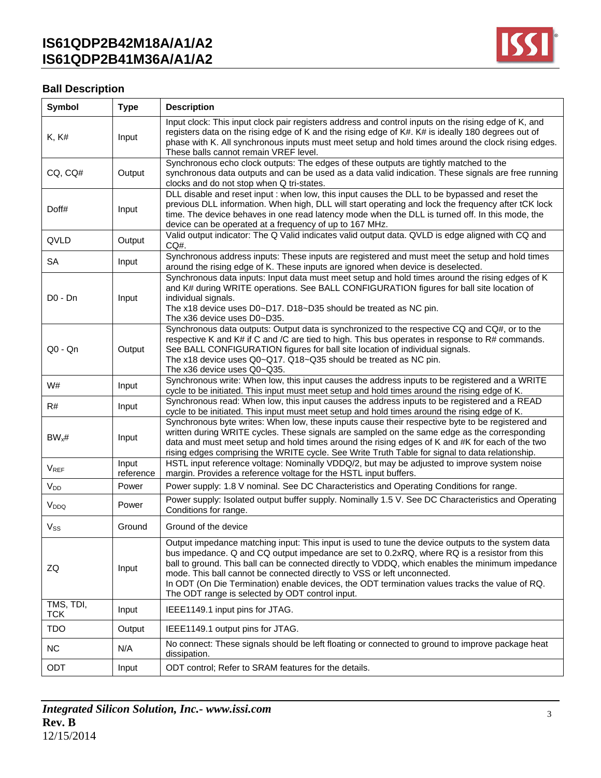

#### **Ball Description**  $\mathsf{r}$

| Symbol                  | <b>Type</b>        | <b>Description</b>                                                                                                                                                                                                                                                                                                                                                                                                                                                                                                                     |
|-------------------------|--------------------|----------------------------------------------------------------------------------------------------------------------------------------------------------------------------------------------------------------------------------------------------------------------------------------------------------------------------------------------------------------------------------------------------------------------------------------------------------------------------------------------------------------------------------------|
| <b>K, K#</b>            | Input              | Input clock: This input clock pair registers address and control inputs on the rising edge of K, and<br>registers data on the rising edge of K and the rising edge of K#. K# is ideally 180 degrees out of<br>phase with K. All synchronous inputs must meet setup and hold times around the clock rising edges.<br>These balls cannot remain VREF level.                                                                                                                                                                              |
| CQ, CQ#                 | Output             | Synchronous echo clock outputs: The edges of these outputs are tightly matched to the<br>synchronous data outputs and can be used as a data valid indication. These signals are free running<br>clocks and do not stop when Q tri-states.                                                                                                                                                                                                                                                                                              |
| Doff#                   | Input              | DLL disable and reset input : when low, this input causes the DLL to be bypassed and reset the<br>previous DLL information. When high, DLL will start operating and lock the frequency after tCK lock<br>time. The device behaves in one read latency mode when the DLL is turned off. In this mode, the<br>device can be operated at a frequency of up to 167 MHz.                                                                                                                                                                    |
| QVLD                    | Output             | Valid output indicator: The Q Valid indicates valid output data. QVLD is edge aligned with CQ and<br>CQ#.                                                                                                                                                                                                                                                                                                                                                                                                                              |
| <b>SA</b>               | Input              | Synchronous address inputs: These inputs are registered and must meet the setup and hold times<br>around the rising edge of K. These inputs are ignored when device is deselected.                                                                                                                                                                                                                                                                                                                                                     |
| $D0 - Dn$               | Input              | Synchronous data inputs: Input data must meet setup and hold times around the rising edges of K<br>and K# during WRITE operations. See BALL CONFIGURATION figures for ball site location of<br>individual signals.<br>The x18 device uses D0~D17. D18~D35 should be treated as NC pin.<br>The x36 device uses D0~D35.                                                                                                                                                                                                                  |
| $Q0 - Qn$               | Output             | Synchronous data outputs: Output data is synchronized to the respective CQ and CQ#, or to the<br>respective K and K# if C and /C are tied to high. This bus operates in response to R# commands.<br>See BALL CONFIGURATION figures for ball site location of individual signals.<br>The x18 device uses Q0~Q17. Q18~Q35 should be treated as NC pin.<br>The x36 device uses Q0~Q35.                                                                                                                                                    |
| W#                      | Input              | Synchronous write: When low, this input causes the address inputs to be registered and a WRITE<br>cycle to be initiated. This input must meet setup and hold times around the rising edge of K.                                                                                                                                                                                                                                                                                                                                        |
| R#                      | Input              | Synchronous read: When low, this input causes the address inputs to be registered and a READ<br>cycle to be initiated. This input must meet setup and hold times around the rising edge of K.                                                                                                                                                                                                                                                                                                                                          |
| $BW_x#$                 | Input              | Synchronous byte writes: When low, these inputs cause their respective byte to be registered and<br>written during WRITE cycles. These signals are sampled on the same edge as the corresponding<br>data and must meet setup and hold times around the rising edges of K and #K for each of the two<br>rising edges comprising the WRITE cycle. See Write Truth Table for signal to data relationship.                                                                                                                                 |
| <b>VREF</b>             | Input<br>reference | HSTL input reference voltage: Nominally VDDQ/2, but may be adjusted to improve system noise<br>margin. Provides a reference voltage for the HSTL input buffers.                                                                                                                                                                                                                                                                                                                                                                        |
| V <sub>DD</sub>         | Power              | Power supply: 1.8 V nominal. See DC Characteristics and Operating Conditions for range.                                                                                                                                                                                                                                                                                                                                                                                                                                                |
| V <sub>DDQ</sub>        | Power              | Power supply: Isolated output buffer supply. Nominally 1.5 V. See DC Characteristics and Operating<br>Conditions for range.                                                                                                                                                                                                                                                                                                                                                                                                            |
| $V_{SS}$                | Ground             | Ground of the device                                                                                                                                                                                                                                                                                                                                                                                                                                                                                                                   |
| ZQ                      | Input              | Output impedance matching input: This input is used to tune the device outputs to the system data<br>bus impedance. Q and CQ output impedance are set to 0.2xRQ, where RQ is a resistor from this<br>ball to ground. This ball can be connected directly to VDDQ, which enables the minimum impedance<br>mode. This ball cannot be connected directly to VSS or left unconnected.<br>In ODT (On Die Termination) enable devices, the ODT termination values tracks the value of RQ.<br>The ODT range is selected by ODT control input. |
| TMS, TDI,<br><b>TCK</b> | Input              | IEEE1149.1 input pins for JTAG.                                                                                                                                                                                                                                                                                                                                                                                                                                                                                                        |
| <b>TDO</b>              | Output             | IEEE1149.1 output pins for JTAG.                                                                                                                                                                                                                                                                                                                                                                                                                                                                                                       |
| <b>NC</b>               | N/A                | No connect: These signals should be left floating or connected to ground to improve package heat<br>dissipation.                                                                                                                                                                                                                                                                                                                                                                                                                       |
| ODT                     | Input              | ODT control; Refer to SRAM features for the details.                                                                                                                                                                                                                                                                                                                                                                                                                                                                                   |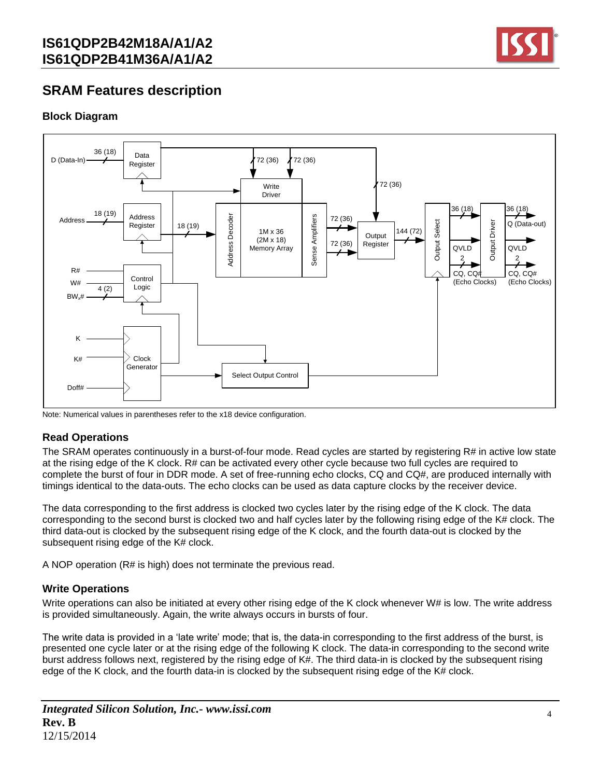

## **SRAM Features description**

### **Block Diagram**



Note: Numerical values in parentheses refer to the x18 device configuration.

### **Read Operations**

The SRAM operates continuously in a burst-of-four mode. Read cycles are started by registering R# in active low state at the rising edge of the K clock. R# can be activated every other cycle because two full cycles are required to complete the burst of four in DDR mode. A set of free-running echo clocks, CQ and CQ#, are produced internally with timings identical to the data-outs. The echo clocks can be used as data capture clocks by the receiver device.

The data corresponding to the first address is clocked two cycles later by the rising edge of the K clock. The data corresponding to the second burst is clocked two and half cycles later by the following rising edge of the K# clock. The third data-out is clocked by the subsequent rising edge of the K clock, and the fourth data-out is clocked by the subsequent rising edge of the K# clock.

A NOP operation (R# is high) does not terminate the previous read.

### **Write Operations**

Write operations can also be initiated at every other rising edge of the K clock whenever W# is low. The write address is provided simultaneously. Again, the write always occurs in bursts of four.

The write data is provided in a 'late write' mode; that is, the data-in corresponding to the first address of the burst, is presented one cycle later or at the rising edge of the following K clock. The data-in corresponding to the second write burst address follows next, registered by the rising edge of K#. The third data-in is clocked by the subsequent rising edge of the K clock, and the fourth data-in is clocked by the subsequent rising edge of the K# clock.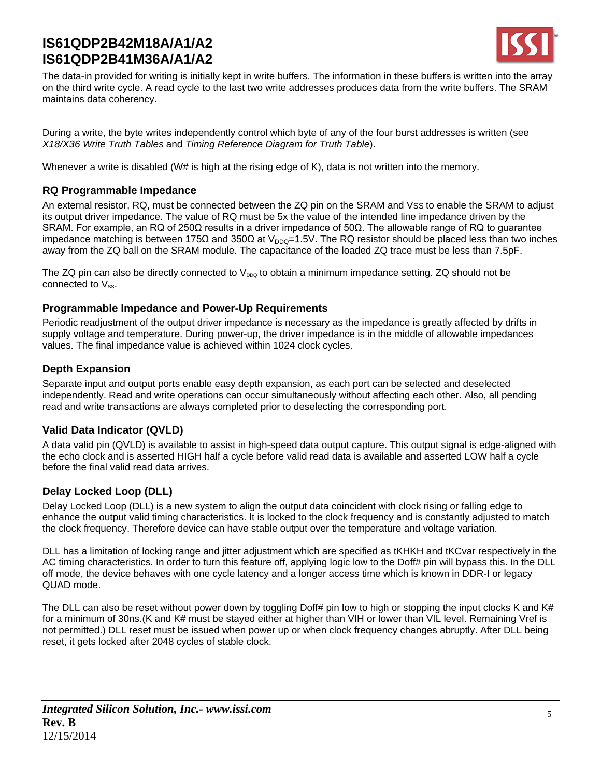

The data-in provided for writing is initially kept in write buffers. The information in these buffers is written into the array on the third write cycle. A read cycle to the last two write addresses produces data from the write buffers. The SRAM maintains data coherency.

During a write, the byte writes independently control which byte of any of the four burst addresses is written (see *X18/X36 Write Truth Tables* and *Timing Reference Diagram for Truth Table*).

Whenever a write is disabled (W# is high at the rising edge of K), data is not written into the memory.

### **RQ Programmable Impedance**

An external resistor, RQ, must be connected between the ZQ pin on the SRAM and VSS to enable the SRAM to adjust its output driver impedance. The value of RQ must be 5x the value of the intended line impedance driven by the SRAM. For example, an RQ of 250Ω results in a driver impedance of 50Ω. The allowable range of RQ to guarantee impedance matching is between 175Ω and 350Ω at V<sub>DDQ</sub>=1.5V. The RQ resistor should be placed less than two inches away from the ZQ ball on the SRAM module. The capacitance of the loaded ZQ trace must be less than 7.5pF.

The ZQ pin can also be directly connected to  $V_{DDQ}$  to obtain a minimum impedance setting. ZQ should not be connected to  $V_{ss}$ .

### **Programmable Impedance and Power-Up Requirements**

Periodic readjustment of the output driver impedance is necessary as the impedance is greatly affected by drifts in supply voltage and temperature. During power-up, the driver impedance is in the middle of allowable impedances values. The final impedance value is achieved within 1024 clock cycles.

### **Depth Expansion**

Separate input and output ports enable easy depth expansion, as each port can be selected and deselected independently. Read and write operations can occur simultaneously without affecting each other. Also, all pending read and write transactions are always completed prior to deselecting the corresponding port.

### **Valid Data Indicator (QVLD)**

A data valid pin (QVLD) is available to assist in high-speed data output capture. This output signal is edge-aligned with the echo clock and is asserted HIGH half a cycle before valid read data is available and asserted LOW half a cycle before the final valid read data arrives.

### **Delay Locked Loop (DLL)**

Delay Locked Loop (DLL) is a new system to align the output data coincident with clock rising or falling edge to enhance the output valid timing characteristics. It is locked to the clock frequency and is constantly adjusted to match the clock frequency. Therefore device can have stable output over the temperature and voltage variation.

DLL has a limitation of locking range and jitter adjustment which are specified as tKHKH and tKCvar respectively in the AC timing characteristics. In order to turn this feature off, applying logic low to the Doff# pin will bypass this. In the DLL off mode, the device behaves with one cycle latency and a longer access time which is known in DDR-I or legacy QUAD mode.

The DLL can also be reset without power down by toggling Doff# pin low to high or stopping the input clocks K and K# for a minimum of 30ns.(K and K# must be stayed either at higher than VIH or lower than VIL level. Remaining Vref is not permitted.) DLL reset must be issued when power up or when clock frequency changes abruptly. After DLL being reset, it gets locked after 2048 cycles of stable clock.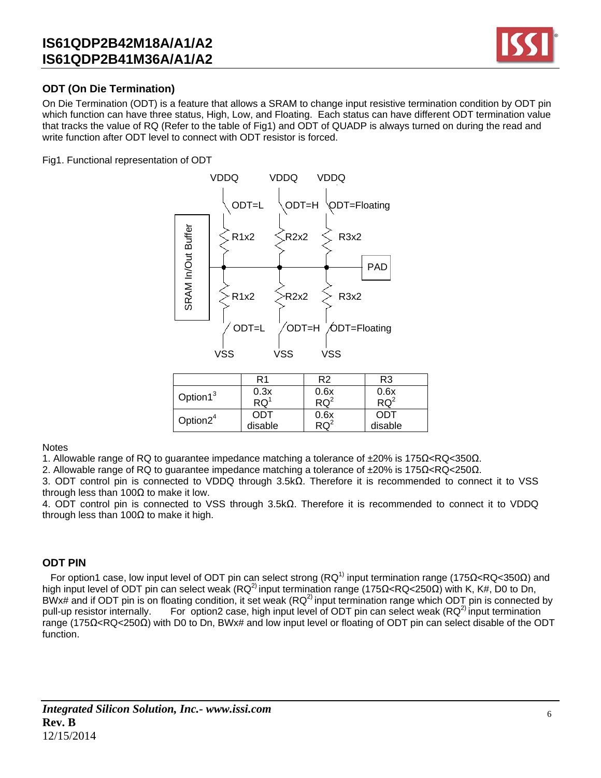

### **ODT (On Die Termination)**

On Die Termination (ODT) is a feature that allows a SRAM to change input resistive termination condition by ODT pin which function can have three status, High, Low, and Floating. Each status can have different ODT termination value that tracks the value of RQ (Refer to the table of Fig1) and ODT of QUADP is always turned on during the read and write function after ODT level to connect with ODT resistor is forced.

Fig1. Functional representation of ODT



|                      | R1                       | R2              | R3      |
|----------------------|--------------------------|-----------------|---------|
| Option1 <sup>3</sup> | 0.3x                     | 0.6x            | 0.6x    |
|                      | $\overline{\text{RQ}}^1$ | RO <sup>2</sup> | $RQ^2$  |
| Option $2^4$         | ODT                      | 0.6x            | ODT     |
|                      | disable                  |                 | disable |
|                      |                          |                 |         |

**Notes** 

1. Allowable range of RQ to guarantee impedance matching a tolerance of ±20% is 175Ω<RQ<350Ω.

2. Allowable range of RQ to guarantee impedance matching a tolerance of ±20% is 175Ω<RQ<250Ω.

3. ODT control pin is connected to VDDQ through 3.5kΩ. Therefore it is recommended to connect it to VSS through less than 100 $\Omega$  to make it low.

4. ODT control pin is connected to VSS through 3.5kΩ. Therefore it is recommended to connect it to VDDQ through less than 100 $Ω$  to make it high.

#### **ODT PIN**

For option1 case, low input level of ODT pin can select strong (RQ<sup>1)</sup> input termination range (175Ω<RQ<350Ω) and high input level of ODT pin can select weak (RQ<sup>2)</sup> input termination range (175Ω<RQ<250Ω) with K, K#, D0 to Dn, BWx# and if ODT pin is on floating condition, it set weak  $(RQ^2)$  input termination range which ODT pin is connected by pull-up resistor internally. For option2 case, high input level of ODT pin can select weak ( $RQ<sup>2</sup>$  input termination range (175Ω<RQ<250Ω) with D0 to Dn, BWx# and low input level or floating of ODT pin can select disable of the ODT function.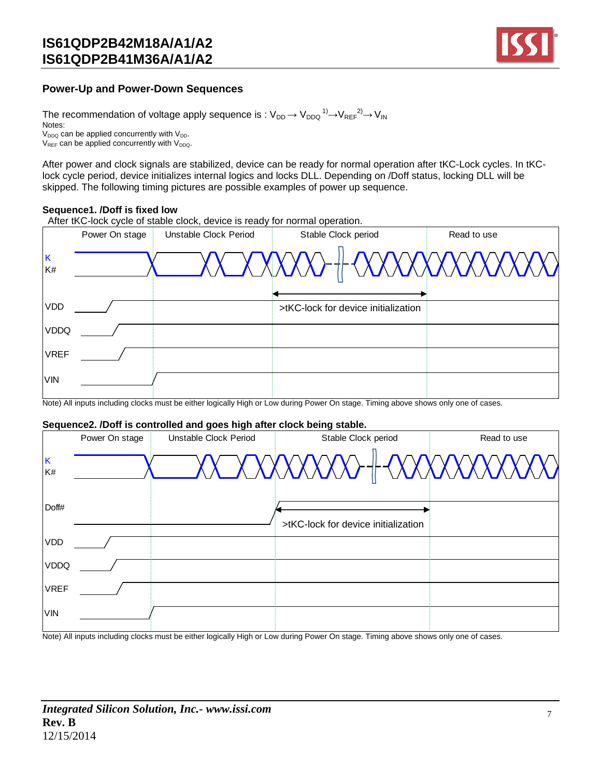

### **Power-Up and Power-Down Sequences**

The recommendation of voltage apply sequence is :  $\rm V_{DD} \!\rightarrow\! V_{DDQ} \rm ^{1)} \!\!\rightarrow\! V_{REF} \rm ^{2)} \!\!\rightarrow\! V_{IN}$ Notes:  $V_{DDQ}$  can be applied concurrently with  $V_{DD}$ .  $V_{REF}$  can be applied concurrently with  $V_{DDQ}$ .

After power and clock signals are stabilized, device can be ready for normal operation after tKC-Lock cycles. In tKClock cycle period, device initializes internal logics and locks DLL. Depending on /Doff status, locking DLL will be skipped. The following timing pictures are possible examples of power up sequence.

#### **Sequence1. /Doff is fixed low**

After tKC-lock cycle of stable clock, device is ready for normal operation.



Note) All inputs including clocks must be either logically High or Low during Power On stage. Timing above shows only one of cases.

#### **Sequence2. /Doff is controlled and goes high after clock being stable.**

|             |                | Sequence2. /Doff is controlled and goes high after clock being stable. |                                     |             |
|-------------|----------------|------------------------------------------------------------------------|-------------------------------------|-------------|
|             | Power On stage | Unstable Clock Period                                                  | Stable Clock period                 | Read to use |
| K<br>K#     |                |                                                                        |                                     |             |
| Doff#       |                |                                                                        | >tKC-lock for device initialization |             |
| <b>VDD</b>  |                |                                                                        |                                     |             |
| <b>VDDQ</b> |                |                                                                        |                                     |             |
| <b>VREF</b> |                |                                                                        |                                     |             |
| <b>VIN</b>  |                |                                                                        |                                     |             |

Note) All inputs including clocks must be either logically High or Low during Power On stage. Timing above shows only one of cases.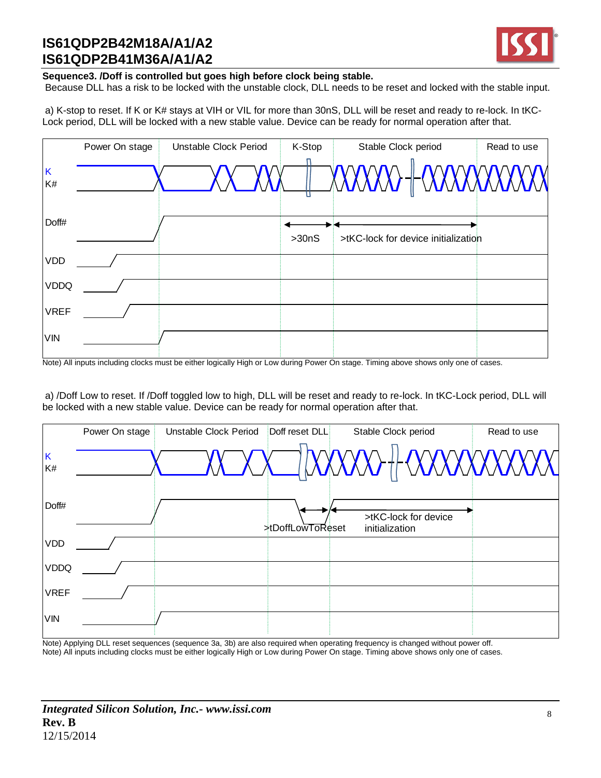

#### **Sequence3. /Doff is controlled but goes high before clock being stable.**

Because DLL has a risk to be locked with the unstable clock, DLL needs to be reset and locked with the stable input.

a) K-stop to reset. If K or K# stays at VIH or VIL for more than 30nS, DLL will be reset and ready to re-lock. In tKC-Lock period, DLL will be locked with a new stable value. Device can be ready for normal operation after that.

|             | Power On stage | Unstable Clock Period | K-Stop | Stable Clock period                 | Read to use |
|-------------|----------------|-----------------------|--------|-------------------------------------|-------------|
| K<br>K#     |                |                       |        |                                     |             |
| Doff#       |                |                       | >30nS  | >tKC-lock for device initialization |             |
| <b>VDD</b>  |                |                       |        |                                     |             |
| <b>VDDQ</b> |                |                       |        |                                     |             |
| <b>VREF</b> |                |                       |        |                                     |             |
| <b>VIN</b>  |                |                       |        |                                     |             |

Note) All inputs including clocks must be either logically High or Low during Power On stage. Timing above shows only one of cases.

a) /Doff Low to reset. If /Doff toggled low to high, DLL will be reset and ready to re-lock. In tKC-Lock period, DLL will be locked with a new stable value. Device can be ready for normal operation after that.

|             | Power On stage | Unstable Clock Period | Doff reset DLL   | Stable Clock period                    | Read to use |
|-------------|----------------|-----------------------|------------------|----------------------------------------|-------------|
| K<br>K#     |                |                       |                  |                                        |             |
| Doff#       |                |                       | >tDoffLowToReset | >tKC-lock for device<br>initialization |             |
| <b>VDD</b>  |                |                       |                  |                                        |             |
| <b>VDDQ</b> |                |                       |                  |                                        |             |
| <b>VREF</b> |                |                       |                  |                                        |             |
| <b>VIN</b>  |                |                       |                  |                                        |             |

Note) Applying DLL reset sequences (sequence 3a, 3b) are also required when operating frequency is changed without power off. Note) All inputs including clocks must be either logically High or Low during Power On stage. Timing above shows only one of cases.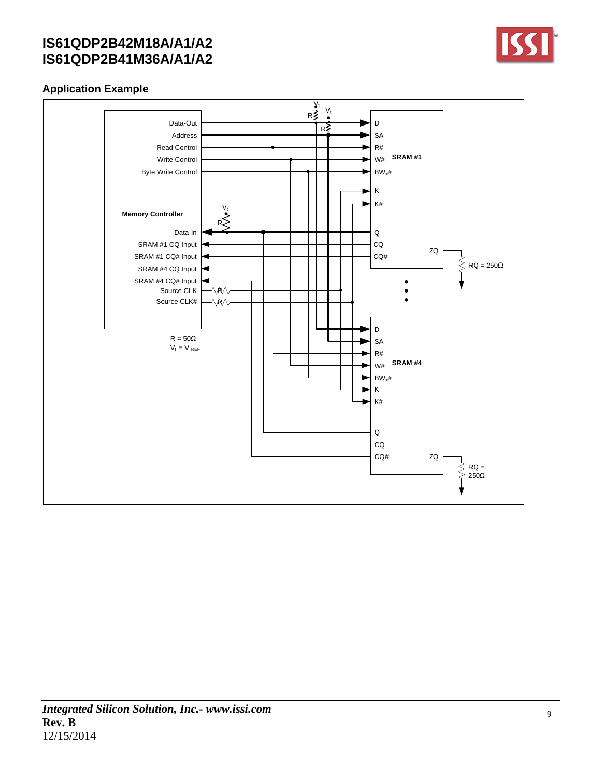

### **Application Example**

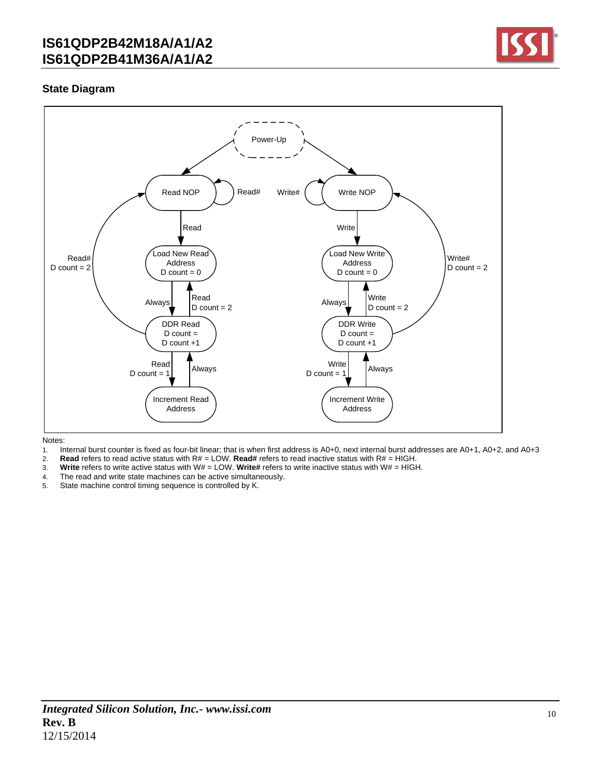

### **State Diagram**



Notes:

- 1. Internal burst counter is fixed as four-bit linear; that is when first address is A0+0, next internal burst addresses are A0+1, A0+2, and A0+3
- 2. **Read** refers to read active status with  $R# = LOW$ . **Read#** refers to read inactive status with  $R# = HIGH$ .<br>3. **Write** refers to write active status with W# = LOW. Write# refers to write inactive status with W# = HIGH
- 3. **Write** refers to write active status with W# = LOW. **Write#** refers to write inactive status with W# = HIGH.
- 4. The read and write state machines can be active simultaneously.
- 5. State machine control timing sequence is controlled by K.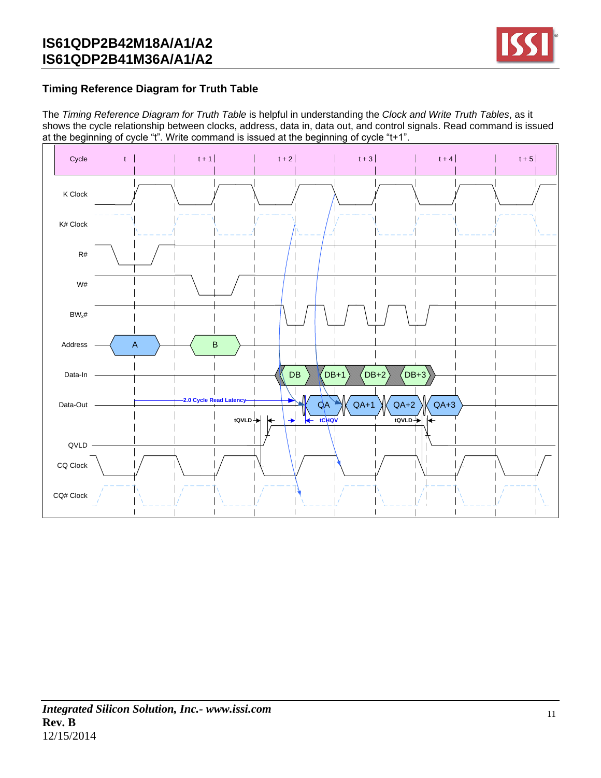

### **Timing Reference Diagram for Truth Table**

The *Timing Reference Diagram for Truth Table* is helpful in understanding the *Clock and Write Truth Tables*, as it shows the cycle relationship between clocks, address, data in, data out, and control signals. Read command is issued at the beginning of cycle "t". Write command is issued at the beginning of cycle "t+1".

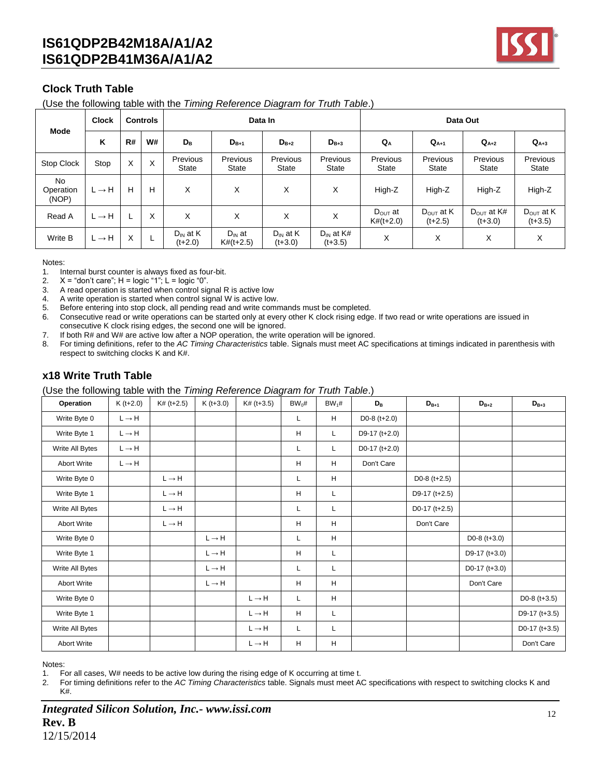

### **Clock Truth Table**

(Use the following table with the *Timing Reference Diagram for Truth Table*.)

| <b>Mode</b>                     | <b>Clock</b><br><b>Controls</b> |    |    |                            | Data In                    |                            | Data Out                    |                                    |                                    |                                     |                                    |
|---------------------------------|---------------------------------|----|----|----------------------------|----------------------------|----------------------------|-----------------------------|------------------------------------|------------------------------------|-------------------------------------|------------------------------------|
|                                 | K                               | R# | W# | $D_{B}$                    | $D_{B+1}$                  | $D_{B+2}$                  | $D_{B+3}$                   | $Q_{A}$                            | $Q_{A+1}$                          | $Q_{A+2}$                           | $Q_{A+3}$                          |
| Stop Clock                      | Stop                            | X  | X  | Previous<br>State          | Previous<br><b>State</b>   | Previous<br><b>State</b>   | Previous<br>State           | Previous<br><b>State</b>           | Previous<br>State                  | Previous<br><b>State</b>            | <b>Previous</b><br>State           |
| <b>No</b><br>Operation<br>(NOP) | $L \rightarrow H$               | H  | Н  | X                          | X                          | X                          | х                           | High-Z                             | High-Z                             | High-Z                              | High-Z                             |
| Read A                          | $L \rightarrow H$               |    | X  | X                          | X                          | X                          | Χ                           | $D_{\text{OUT}}$ at<br>$K#(t+2.0)$ | $D_{\text{OUT}}$ at K<br>$(t+2.5)$ | $D_{\text{OUT}}$ at K#<br>$(t+3.0)$ | $D_{\text{OUT}}$ at K<br>$(t+3.5)$ |
| Write B                         | $L \rightarrow H$               | X  | ┶  | $D_{IN}$ at K<br>$(t+2.0)$ | $D_{IN}$ at<br>$K#(t+2.5)$ | $D_{IN}$ at K<br>$(t+3.0)$ | $D_{IN}$ at K#<br>$(t+3.5)$ | X                                  | X                                  | X                                   | X                                  |

Notes:

1. Internal burst counter is always fixed as four-bit.

2.  $X =$  "don't care";  $H =$  logic "1";  $L =$  logic "0".

3. A read operation is started when control signal R is active low

4. A write operation is started when control signal W is active low.

5. Before entering into stop clock, all pending read and write commands must be completed.

- 6. Consecutive read or write operations can be started only at every other K clock rising edge. If two read or write operations are issued in consecutive K clock rising edges, the second one will be ignored.
- 7. If both R# and W# are active low after a NOP operation, the write operation will be ignored.
- 8. For timing definitions, refer to the *AC Timing Characteristics* table. Signals must meet AC specifications at timings indicated in parenthesis with respect to switching clocks K and K#.

### **x18 Write Truth Table**

(Use the following table with the *Timing Reference Diagram for Truth Table*.)

| Operation          | $K(t+2.0)$        | $K# (t+2.5)$      | $K(t+3.0)$        | $K#$ (t+3.5)      | $BW_0#$ | $BW_1#$ | $D_{\rm B}$     | $D_{B+1}$       | $D_{B+2}$       | $D_{B+3}$       |
|--------------------|-------------------|-------------------|-------------------|-------------------|---------|---------|-----------------|-----------------|-----------------|-----------------|
| Write Byte 0       | $L \rightarrow H$ |                   |                   |                   | L       | H       | D0-8 $(t+2.0)$  |                 |                 |                 |
| Write Byte 1       | $L \rightarrow H$ |                   |                   |                   | H       | L       | D9-17 (t+2.0)   |                 |                 |                 |
| Write All Bytes    | $L \rightarrow H$ |                   |                   |                   | L       | L       | D0-17 $(t+2.0)$ |                 |                 |                 |
| <b>Abort Write</b> | $L \rightarrow H$ |                   |                   |                   | H       | H       | Don't Care      |                 |                 |                 |
| Write Byte 0       |                   | $L \rightarrow H$ |                   |                   | L       | H       |                 | $D0-8$ (t+2.5)  |                 |                 |
| Write Byte 1       |                   | $L \rightarrow H$ |                   |                   | H       | L       |                 | D9-17 $(t+2.5)$ |                 |                 |
| Write All Bytes    |                   | $L \rightarrow H$ |                   |                   | L       | L       |                 | D0-17 $(t+2.5)$ |                 |                 |
| <b>Abort Write</b> |                   | $L \rightarrow H$ |                   |                   | H       | H       |                 | Don't Care      |                 |                 |
| Write Byte 0       |                   |                   | $L \rightarrow H$ |                   | L       | H       |                 |                 | D0-8 $(t+3.0)$  |                 |
| Write Byte 1       |                   |                   | $L \rightarrow H$ |                   | H       | Г       |                 |                 | D9-17 (t+3.0)   |                 |
| Write All Bytes    |                   |                   | $L \rightarrow H$ |                   | L       | L       |                 |                 | D0-17 $(t+3.0)$ |                 |
| <b>Abort Write</b> |                   |                   | $L \rightarrow H$ |                   | H       | H       |                 |                 | Don't Care      |                 |
| Write Byte 0       |                   |                   |                   | $L \rightarrow H$ | L       | н       |                 |                 |                 | D0-8 $(t+3.5)$  |
| Write Byte 1       |                   |                   |                   | $L \rightarrow H$ | H       | L       |                 |                 |                 | D9-17 (t+3.5)   |
| Write All Bytes    |                   |                   |                   | $L \rightarrow H$ | L       | L       |                 |                 |                 | D0-17 $(t+3.5)$ |
| <b>Abort Write</b> |                   |                   |                   | $L \rightarrow H$ | H       | H       |                 |                 |                 | Don't Care      |

Notes:

1. For all cases, W# needs to be active low during the rising edge of K occurring at time t.

2. For timing definitions refer to the *AC Timing Characteristics* table. Signals must meet AC specifications with respect to switching clocks K and K#.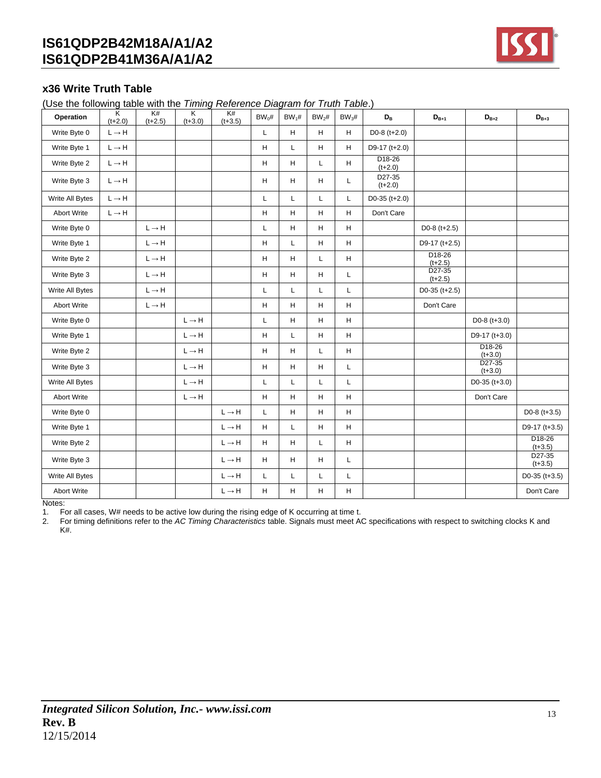

### **x36 Write Truth Table**

(Use the following table with the *Timing Reference Diagram for Truth Table*.)

| Operation          | Κ<br>$(t+2.0)$            | K#<br>$(t+2.5)$   | $\overline{\mathsf{K}}$<br>$(t+3.0)$ | K#<br>$(t+3.5)$   | $BW_0#$ | $BW_1#$ | $BW_2#$ | $BW_3#$                                                           | $D_{\rm B}$                      | $D_{B+1}$                        | $D_{B+2}$                          | $D_{B+3}$                          |
|--------------------|---------------------------|-------------------|--------------------------------------|-------------------|---------|---------|---------|-------------------------------------------------------------------|----------------------------------|----------------------------------|------------------------------------|------------------------------------|
| Write Byte 0       | $L \rightarrow H$         |                   |                                      |                   | L       | H       | H       | H                                                                 | D0-8 $(t+2.0)$                   |                                  |                                    |                                    |
| Write Byte 1       | $\mathsf{L}\to\mathsf{H}$ |                   |                                      |                   | H       | L       | H       | H                                                                 | D9-17 (t+2.0)                    |                                  |                                    |                                    |
| Write Byte 2       | $L \rightarrow H$         |                   |                                      |                   | н       | н       | Г       | H                                                                 | D <sub>18</sub> -26<br>$(t+2.0)$ |                                  |                                    |                                    |
| Write Byte 3       | $L \rightarrow H$         |                   |                                      |                   | H       | H       | H       | L                                                                 | D27-35<br>$(t+2.0)$              |                                  |                                    |                                    |
| Write All Bytes    | $L \rightarrow H$         |                   |                                      |                   | L       | L       | L       | L                                                                 | $D0-35$ (t+2.0)                  |                                  |                                    |                                    |
| <b>Abort Write</b> | $L \rightarrow H$         |                   |                                      |                   | H       | H       | н       | H                                                                 | Don't Care                       |                                  |                                    |                                    |
| Write Byte 0       |                           | $L \rightarrow H$ |                                      |                   | L       | H       | H       | H                                                                 |                                  | $D0-8$ (t+2.5)                   |                                    |                                    |
| Write Byte 1       |                           | $L \rightarrow H$ |                                      |                   | H       | L       | Н       | $\mathsf{H}% _{\mathsf{H}}^{\ast}=\mathsf{H}_{\mathsf{H}}^{\ast}$ |                                  | D9-17 (t+2.5)                    |                                    |                                    |
| Write Byte 2       |                           | $L \rightarrow H$ |                                      |                   | H       | H       | L       | H                                                                 |                                  | D <sub>18</sub> -26<br>$(t+2.5)$ |                                    |                                    |
| Write Byte 3       |                           | $L \rightarrow H$ |                                      |                   | H       | н       | н       | L                                                                 |                                  | D <sub>27</sub> -35<br>$(t+2.5)$ |                                    |                                    |
| Write All Bytes    |                           | $L \rightarrow H$ |                                      |                   | L       | L       | L       | L                                                                 |                                  | D0-35 ( $t+2.5$ )                |                                    |                                    |
| Abort Write        |                           | $L \rightarrow H$ |                                      |                   | H       | H       | H       | H                                                                 |                                  | Don't Care                       |                                    |                                    |
| Write Byte 0       |                           |                   | $L \rightarrow H$                    |                   | L       | н       | н       | H                                                                 |                                  |                                  | $D0-8$ (t+3.0)                     |                                    |
| Write Byte 1       |                           |                   | $L \rightarrow H$                    |                   | н       | L       | H       | H                                                                 |                                  |                                  | $D9-17$ (t+3.0)                    |                                    |
| Write Byte 2       |                           |                   | $L \rightarrow H$                    |                   | н       | н       | L       | H                                                                 |                                  |                                  | D18-26<br>$(t + 3.0)$              |                                    |
| Write Byte 3       |                           |                   | $L \rightarrow H$                    |                   | н       | Н       | н       | Г                                                                 |                                  |                                  | D <sub>27</sub> -35<br>$(t + 3.0)$ |                                    |
| Write All Bytes    |                           |                   | $L \rightarrow H$                    |                   | Г       | L       | Г       | L                                                                 |                                  |                                  | $D0-35$ (t+3.0)                    |                                    |
| Abort Write        |                           |                   | $L \rightarrow H$                    |                   | H       | Н       | н       | H                                                                 |                                  |                                  | Don't Care                         |                                    |
| Write Byte 0       |                           |                   |                                      | $L \rightarrow H$ | L       | H       | H       | H                                                                 |                                  |                                  |                                    | D0-8 $(t+3.5)$                     |
| Write Byte 1       |                           |                   |                                      | $L \rightarrow H$ | H       | L       | н       | H                                                                 |                                  |                                  |                                    | D9-17 ( $t+3.5$ )                  |
| Write Byte 2       |                           |                   |                                      | $L \rightarrow H$ | H       | H       | L       | H                                                                 |                                  |                                  |                                    | D <sub>18</sub> -26<br>$(t + 3.5)$ |
| Write Byte 3       |                           |                   |                                      | $L \rightarrow H$ | H       | H       | H       | L                                                                 |                                  |                                  |                                    | D27-35<br>$(t+3.5)$                |
| Write All Bytes    |                           |                   |                                      | $L \rightarrow H$ | L       | L       | Г       | Г                                                                 |                                  |                                  |                                    | $D0-35$ (t+3.5)                    |
| Abort Write        |                           |                   |                                      | $L \rightarrow H$ | H       | Н       | Н       | H                                                                 |                                  |                                  |                                    | Don't Care                         |

Notes:

1. For all cases, W# needs to be active low during the rising edge of K occurring at time t.<br>2. For timing definitions refer to the AC Timing Characteristics table. Signals must meet A

2. For timing definitions refer to the *AC Timing Characteristics* table. Signals must meet AC specifications with respect to switching clocks K and K#.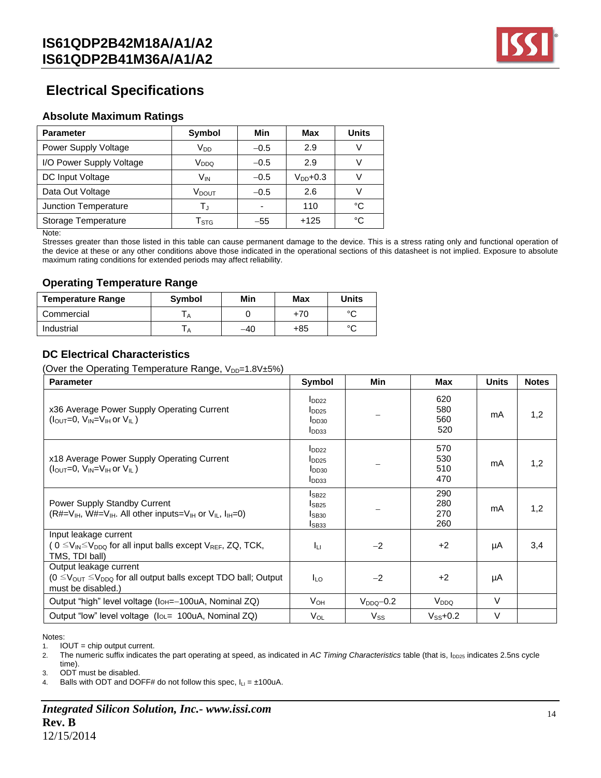

## **Electrical Specifications**

### **Absolute Maximum Ratings**

| <b>Parameter</b>         | Symbol                    | Min    | Max           | <b>Units</b> |
|--------------------------|---------------------------|--------|---------------|--------------|
| Power Supply Voltage     | V <sub>DD</sub>           | $-0.5$ | 2.9           |              |
| I/O Power Supply Voltage | V <sub>DDQ</sub>          | $-0.5$ | 2.9           |              |
| DC Input Voltage         | V <sub>IN</sub>           | $-0.5$ | $V_{DD}$ +0.3 |              |
| Data Out Voltage         | V <sub>DOUT</sub>         | $-0.5$ | 2.6           |              |
| Junction Temperature     | T,                        |        | 110           | °C           |
| Storage Temperature      | $\mathsf{T}_{\text{STG}}$ | $-55$  | $+125$        | °C           |

Note:

Stresses greater than those listed in this table can cause permanent damage to the device. This is a stress rating only and functional operation of the device at these or any other conditions above those indicated in the operational sections of this datasheet is not implied. Exposure to absolute maximum rating conditions for extended periods may affect reliability.

### **Operating Temperature Range**

| <b>Temperature Range</b> | <b>Symbol</b> | Min | Max | Units  |
|--------------------------|---------------|-----|-----|--------|
| Commercial               |               |     | +70 | $\sim$ |
| Industrial               |               | -40 | +85 | $\sim$ |

### **DC Electrical Characteristics**

(Over the Operating Temperature Range,  $V_{DP}=1.8V\pm5\%$ )

| <b>Parameter</b>                                                                                                                                     | Symbol                                                             | Min            | Max                      | <b>Units</b> | <b>Notes</b> |
|------------------------------------------------------------------------------------------------------------------------------------------------------|--------------------------------------------------------------------|----------------|--------------------------|--------------|--------------|
| x36 Average Power Supply Operating Current<br>$(l_{\text{OUT}}=0, V_{\text{IN}}=V_{\text{IH}}$ or $V_{\text{II}}$ )                                  | $I_{DD22}$<br>$I_{DD25}$<br>I <sub>DD30</sub><br>I <sub>DD33</sub> |                | 620<br>580<br>560<br>520 | mA           | 1,2          |
| x18 Average Power Supply Operating Current<br>$(IOUT=0, VIN=VIH$ or $VIL$ )                                                                          | $I_{DD22}$<br>$I_{DD25}$<br>I <sub>DD30</sub><br>I <sub>DD33</sub> |                | 570<br>530<br>510<br>470 | mA           | 1,2          |
| Power Supply Standby Current<br>$(R#=V_{H}$ , W#=V <sub>IH</sub> . All other inputs=V <sub>IH</sub> or V <sub>IL</sub> , $I_{H}=0$ )                 | IsB22<br>$I_{SB25}$<br>IsB30<br>ISB <sub>33</sub>                  |                | 290<br>280<br>270<br>260 | mA           | 1,2          |
| Input leakage current<br>( $0 \leq V_{\mathsf{IN}} \leq V_{\mathsf{DDQ}}$ for all input balls except $V_{\mathsf{REF}}$ , ZQ, TCK,<br>TMS, TDI ball) | Īц                                                                 | $-2$           | $+2$                     | μA           | 3,4          |
| Output leakage current<br>$(0 \le V_{\text{OUT}} \le V_{\text{DDQ}}$ for all output balls except TDO ball; Output<br>must be disabled.)              | <b>I</b> LO                                                        | $-2$           | $+2$                     | μA           |              |
| Output "high" level voltage (IoH=-100uA, Nominal ZQ)                                                                                                 | V <sub>он</sub>                                                    | $V_{DDQ}$ -0.2 | V <sub>DDQ</sub>         | $\vee$       |              |
| Output "low" level voltage (lou= 100uA, Nominal ZQ)                                                                                                  | $V_{OL}$                                                           | $V_{SS}$       | $V_{SS}$ +0.2            | $\vee$       |              |

Notes:

1. IOUT = chip output current.

2. The numeric suffix indicates the part operating at speed, as indicated in *AC Timing Characteristics* table (that is, I<sub>DD25</sub> indicates 2.5ns cycle time).

3. ODT must be disabled.

4. Balls with ODT and DOFF# do not follow this spec,  $I_{LI} = \pm 100uA$ .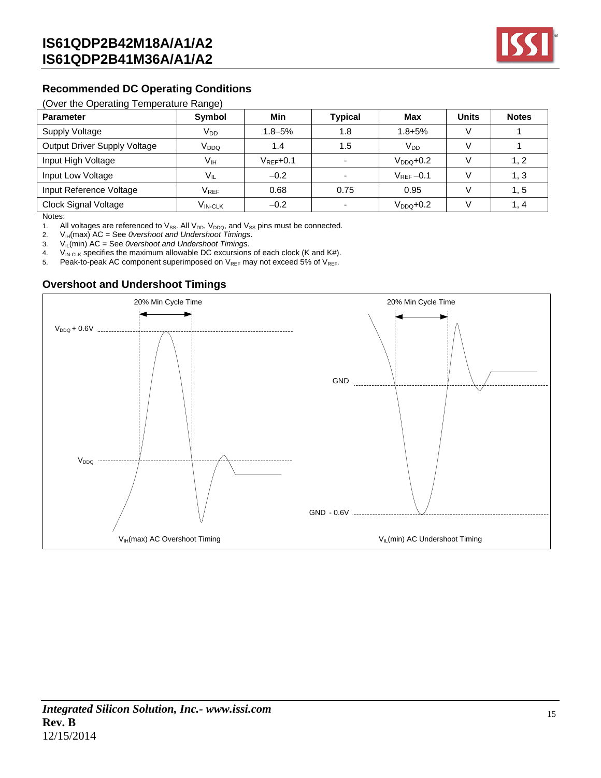

### **Recommended DC Operating Conditions**

#### (Over the Operating Temperature Range)

| <b>Parameter</b>             | $\tilde{\phantom{a}}$<br>Symbol | Min            | <b>Typical</b> | Max           | <b>Units</b> | <b>Notes</b> |
|------------------------------|---------------------------------|----------------|----------------|---------------|--------------|--------------|
| Supply Voltage               | $V_{DD}$                        | $1.8 - 5\%$    | 1.8            | $1.8 + 5%$    |              |              |
| Output Driver Supply Voltage | V <sub>DDQ</sub>                | 1.4            | 1.5            | $V_{DD}$      |              |              |
| Input High Voltage           | Vıн                             | $V_{RFF}$ +0.1 |                | $V_{DDO}+0.2$ |              | 1, 2         |
| Input Low Voltage            | $V_{IL}$                        | $-0.2$         |                | $V_{REF}-0.1$ |              | 1, 3         |
| Input Reference Voltage      | $V_{REF}$                       | 0.68           | 0.75           | 0.95          |              | 1, 5         |
| Clock Signal Voltage         | V <sub>IN-CLK</sub>             | $-0.2$         |                | $VDDO+0.2$    |              | 1.4          |

Notes:

1. All voltages are referenced to  $V_{SS}$ . All  $V_{DD}$ ,  $V_{DDQ}$ , and  $V_{SS}$  pins must be connected.

2. VIH(max) AC = See *0vershoot and Undershoot Timings*.

3. VIL(min) AC = See *0vershoot and Undershoot Timings*.

4. VIN-CLK specifies the maximum allowable DC excursions of each clock (K and K#).

5. Peak-to-peak AC component superimposed on  $V_{REF}$  may not exceed 5% of  $V_{REF}$ .

### **Overshoot and Undershoot Timings**

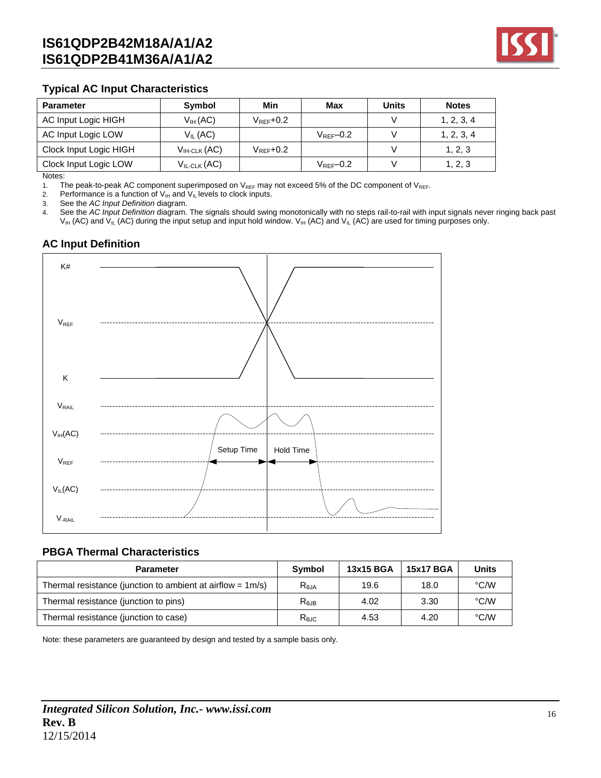

### **Typical AC Input Characteristics**

| <b>Parameter</b>       | Symbol                  | Min                 | Max                    | <b>Units</b> | <b>Notes</b> |
|------------------------|-------------------------|---------------------|------------------------|--------------|--------------|
| AC Input Logic HIGH    | V <sub>IH</sub> (AC)    | $V_{\rm{RFF}}$ +0.2 |                        |              | 1, 2, 3, 4   |
| AC Input Logic LOW     | $V_{II}$ (AC)           |                     | $V_{\text{RFF}}$ -0.2  |              | 1, 2, 3, 4   |
| Clock Input Logic HIGH | $V_{\text{IH-CLK}}(AC)$ | $V_{\rm{RFF}}$ +0.2 |                        |              | 1, 2, 3      |
| Clock Input Logic LOW  | $V_{IL-CLK}(AC)$        |                     | $V_{\text{RFF}} - 0.2$ |              | 1, 2, 3      |

Notes:

1. The peak-to-peak AC component superimposed on  $V_{REF}$  may not exceed 5% of the DC component of  $V_{REF}$ .<br>2. Performance is a function of  $V_{IH}$  and  $V_{IL}$  levels to clock inputs.

Performance is a function of  $V_{IH}$  and  $V_{IL}$  levels to clock inputs.

3. See the *AC Input Definition* diagram.

4. See the *AC Input Definition* diagram. The signals should swing monotonically with no steps rail-to-rail with input signals never ringing back past  $V_{IH}$  (AC) and  $V_{IL}$  (AC) during the input setup and input hold window.  $V_{IH}$  (AC) and  $V_{IL}$  (AC) are used for timing purposes only.

### **AC Input Definition**



#### **PBGA Thermal Characteristics**

| <b>Parameter</b>                                              | Symbol     | 13x15 BGA | <b>15x17 BGA</b> | <b>Units</b> |
|---------------------------------------------------------------|------------|-----------|------------------|--------------|
| Thermal resistance (junction to ambient at airflow = $1m/s$ ) | $R_{0,IA}$ | 19.6      | 18.0             | °C/W         |
| Thermal resistance (junction to pins)                         | $R_{0,IB}$ | 4.02      | 3.30             | °C/W         |
| Thermal resistance (junction to case)                         | Rejc       | 4.53      | 4.20             | °C/W         |

Note: these parameters are guaranteed by design and tested by a sample basis only.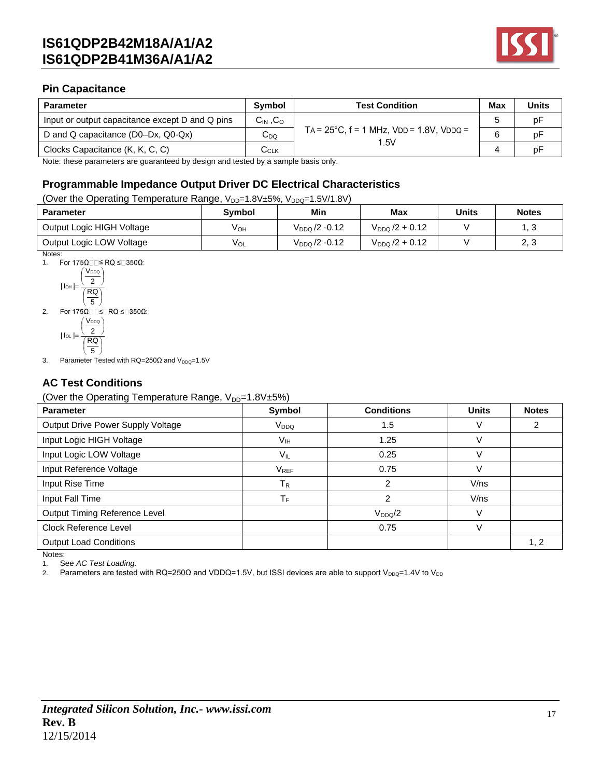

### **Pin Capacitance**

| <b>Parameter</b>                                | <b>Symbol</b>             | <b>Test Condition</b>                                     | <b>Max</b> | <b>Units</b> |
|-------------------------------------------------|---------------------------|-----------------------------------------------------------|------------|--------------|
| Input or output capacitance except D and Q pins | $C_{IN}$ , $C_{O}$        |                                                           |            | рF           |
| D and Q capacitance (D0–Dx, Q0-Qx)              | $C_{DQ}$                  | $TA = 25^{\circ}C$ , $f = 1$ MHz, $VDD = 1.8V$ , $VDDQ =$ |            | рF           |
| Clocks Capacitance (K, K, C, C)                 | $\mathtt{C}_\mathtt{CLK}$ | 1.5V                                                      |            |              |

Note: these parameters are guaranteed by design and tested by a sample basis only.

### **Programmable Impedance Output Driver DC Electrical Characteristics**

#### (Over the Operating Temperature Range, V<sub>DD</sub>=1.8V±5%, V<sub>DDQ</sub>=1.5V/1.8V)

| <b>Parameter</b>          | <b>Symbol</b> | Min                       | <b>Max</b>          | Units | <b>Notes</b> |
|---------------------------|---------------|---------------------------|---------------------|-------|--------------|
| Output Logic HIGH Voltage | Vон           | $V_{DDQ}$ /2 -0.12        | $V_{DDQ}$ /2 + 0.12 |       | ں ا          |
| Output Logic LOW Voltage  | VOL           | V <sub>DDQ</sub> /2 -0.12 | $V_{DDQ}/2 + 0.12$  |       | າ າ<br>د. ک  |

Notes:<br>1. F For 175Ω $\square\square$ ≤ RQ ≤ $\square$ 350Ω:



 $(RQ)$ J J  $|$   $|$   $\alpha$   $|$   $=$   $\cdot$ 2

 $\left(\frac{1}{5}\right)$ 3. Parameter Tested with  $RQ=250\Omega$  and  $V_{DDQ}=1.5V$ 

### **AC Test Conditions**

#### (Over the Operating Temperature Range,  $V_{DD}=1.8V\pm5\%$ )

| <b>Parameter</b>                  | Symbol                  | <b>Conditions</b> | <b>Units</b> | <b>Notes</b> |
|-----------------------------------|-------------------------|-------------------|--------------|--------------|
| Output Drive Power Supply Voltage | V <sub>DDQ</sub>        | 1.5               |              | 2            |
| Input Logic HIGH Voltage          | V <sub>IH</sub>         | 1.25              |              |              |
| Input Logic LOW Voltage           | $V_{IL}$                | 0.25              |              |              |
| Input Reference Voltage           | $V_{REF}$               | 0.75              |              |              |
| Input Rise Time                   | $\mathsf T_{\mathsf R}$ | 2                 | V/ns         |              |
| Input Fall Time                   | ТF                      | $\overline{c}$    | V/ns         |              |
| Output Timing Reference Level     |                         | $V_{DDQ}/2$       |              |              |
| <b>Clock Reference Level</b>      |                         | 0.75              | V            |              |
| <b>Output Load Conditions</b>     |                         |                   |              | 1, 2         |
| Notes:                            |                         |                   |              |              |

1. See *AC Test Loading.*

2. Parameters are tested with RQ=250Ω and VDDQ=1.5V, but ISSI devices are able to support V<sub>DDQ</sub>=1.4V to V<sub>DD</sub>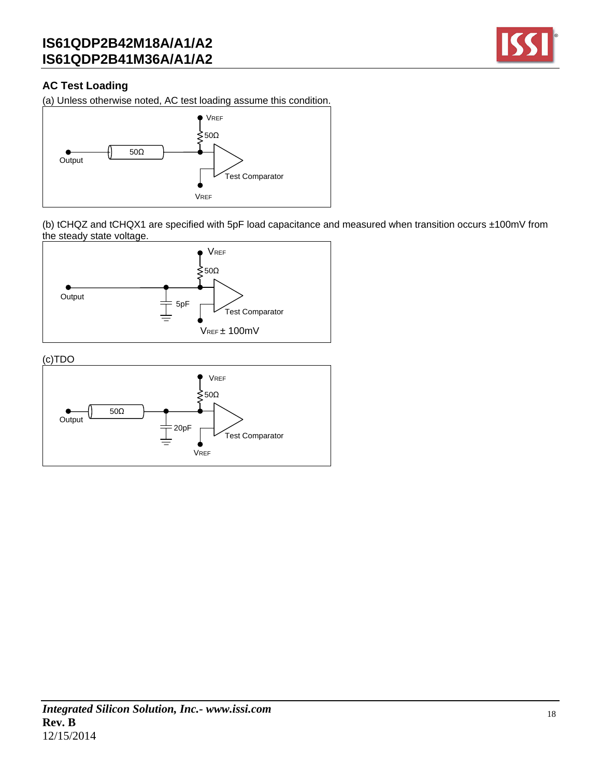

### **AC Test Loading**

(a) Unless otherwise noted, AC test loading assume this condition.



(b) tCHQZ and tCHQX1 are specified with 5pF load capacitance and measured when transition occurs ±100mV from the steady state voltage.



(c)TDO

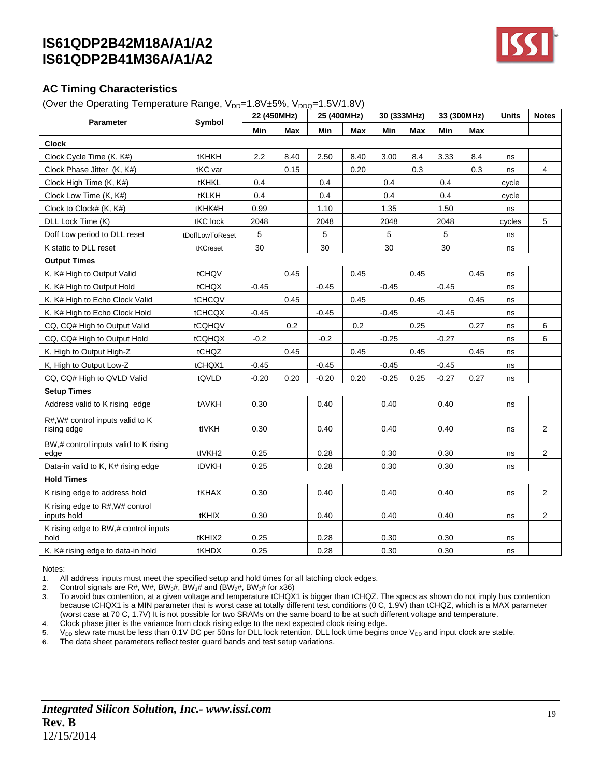

### **AC Timing Characteristics**

(Over the Operating Temperature Range,  $V_{DD}=1.8V+5\%$ ,  $V_{DDQ}=1.5V/1.8V$ )

| Parameter                                                 | Symbol             | 22 (450MHz) |      | 25 (400MHz) |      | 30 (333MHz) |            |         | 33 (300MHz) | Units  | <b>Notes</b>   |
|-----------------------------------------------------------|--------------------|-------------|------|-------------|------|-------------|------------|---------|-------------|--------|----------------|
|                                                           |                    | Min         | Max  | Min         | Max  | Min         | <b>Max</b> | Min     | Max         |        |                |
| Clock                                                     |                    |             |      |             |      |             |            |         |             |        |                |
| Clock Cycle Time (K, K#)                                  | tKHKH              | 2.2         | 8.40 | 2.50        | 8.40 | 3.00        | 8.4        | 3.33    | 8.4         | ns     |                |
| Clock Phase Jitter (K, K#)                                | tKC var            |             | 0.15 |             | 0.20 |             | 0.3        |         | 0.3         | ns     | 4              |
| Clock High Time (K, K#)                                   | tKHKL              | 0.4         |      | 0.4         |      | 0.4         |            | 0.4     |             | cycle  |                |
| Clock Low Time (K, K#)                                    | tKLKH              | 0.4         |      | 0.4         |      | 0.4         |            | 0.4     |             | cycle  |                |
| Clock to Clock# (K, K#)                                   | tKHK#H             | 0.99        |      | 1.10        |      | 1.35        |            | 1.50    |             | ns     |                |
| DLL Lock Time (K)                                         | tKC lock           | 2048        |      | 2048        |      | 2048        |            | 2048    |             | cycles | 5              |
| Doff Low period to DLL reset                              | tDoffLowToReset    | 5           |      | 5           |      | 5           |            | 5       |             | ns     |                |
| K static to DLL reset                                     | tKCreset           | 30          |      | 30          |      | 30          |            | 30      |             | ns     |                |
| <b>Output Times</b>                                       |                    |             |      |             |      |             |            |         |             |        |                |
| K, K# High to Output Valid                                | tCHQV              |             | 0.45 |             | 0.45 |             | 0.45       |         | 0.45        | ns     |                |
| K, K# High to Output Hold                                 | tCHQX              | $-0.45$     |      | $-0.45$     |      | $-0.45$     |            | $-0.45$ |             | ns     |                |
| K, K# High to Echo Clock Valid                            | tCHCQV             |             | 0.45 |             | 0.45 |             | 0.45       |         | 0.45        | ns     |                |
| K, K# High to Echo Clock Hold                             | tCHCQX             | $-0.45$     |      | $-0.45$     |      | $-0.45$     |            | $-0.45$ |             | ns     |                |
| CQ, CQ# High to Output Valid                              | tCQHQV             |             | 0.2  |             | 0.2  |             | 0.25       |         | 0.27        | ns     | 6              |
| CQ, CQ# High to Output Hold                               | tCQHQX             | $-0.2$      |      | $-0.2$      |      | $-0.25$     |            | $-0.27$ |             | ns     | 6              |
| K, High to Output High-Z                                  | tCHQZ              |             | 0.45 |             | 0.45 |             | 0.45       |         | 0.45        | ns     |                |
| K, High to Output Low-Z                                   | tCHQX1             | $-0.45$     |      | $-0.45$     |      | $-0.45$     |            | $-0.45$ |             | ns     |                |
| CQ, CQ# High to QVLD Valid                                | tQVLD              | $-0.20$     | 0.20 | $-0.20$     | 0.20 | $-0.25$     | 0.25       | $-0.27$ | 0.27        | ns     |                |
| <b>Setup Times</b>                                        |                    |             |      |             |      |             |            |         |             |        |                |
| Address valid to K rising edge                            | tAVKH              | 0.30        |      | 0.40        |      | 0.40        |            | 0.40    |             | ns     |                |
| R#, W# control inputs valid to K<br>rising edge           | tIVKH              | 0.30        |      | 0.40        |      | 0.40        |            | 0.40    |             | ns     | 2              |
| $BW_x#$ control inputs valid to K rising<br>edge          | tlVKH <sub>2</sub> | 0.25        |      | 0.28        |      | 0.30        |            | 0.30    |             | ns     | $\overline{2}$ |
| Data-in valid to K, K# rising edge                        | tDVKH              | 0.25        |      | 0.28        |      | 0.30        |            | 0.30    |             | ns     |                |
| <b>Hold Times</b>                                         |                    |             |      |             |      |             |            |         |             |        |                |
| K rising edge to address hold                             | tKHAX              | 0.30        |      | 0.40        |      | 0.40        |            | 0.40    |             | ns     | $\overline{c}$ |
| K rising edge to R#, W# control<br>inputs hold            | tKHIX              | 0.30        |      | 0.40        |      | 0.40        |            | 0.40    |             | ns     | 2              |
| K rising edge to BW <sub>x</sub> # control inputs<br>hold | tKHIX2             | 0.25        |      | 0.28        |      | 0.30        |            | 0.30    |             | ns     |                |
| K, K# rising edge to data-in hold                         | tKHDX              | 0.25        |      | 0.28        |      | 0.30        |            | 0.30    |             | ns     |                |

#### Notes:

1. All address inputs must meet the specified setup and hold times for all latching clock edges.

2. Control signals are R#, W#, BW<sub>0</sub>#, BW<sub>1</sub># and (BW<sub>2</sub>#, BW<sub>3</sub># for x36)

3. To avoid bus contention, at a given voltage and temperature tCHQX1 is bigger than tCHQZ. The specs as shown do not imply bus contention because tCHQX1 is a MIN parameter that is worst case at totally different test conditions (0 C, 1.9V) than tCHQZ, which is a MAX parameter (worst case at 70 C, 1.7V) It is not possible for two SRAMs on the same board to be at such different voltage and temperature. 4. Clock phase jitter is the variance from clock rising edge to the next expected clock rising edge.

5. V<sub>DD</sub> slew rate must be less than 0.1V DC per 50ns for DLL lock retention. DLL lock time begins once V<sub>DD</sub> and input clock are stable.

6. The data sheet parameters reflect tester guard bands and test setup variations.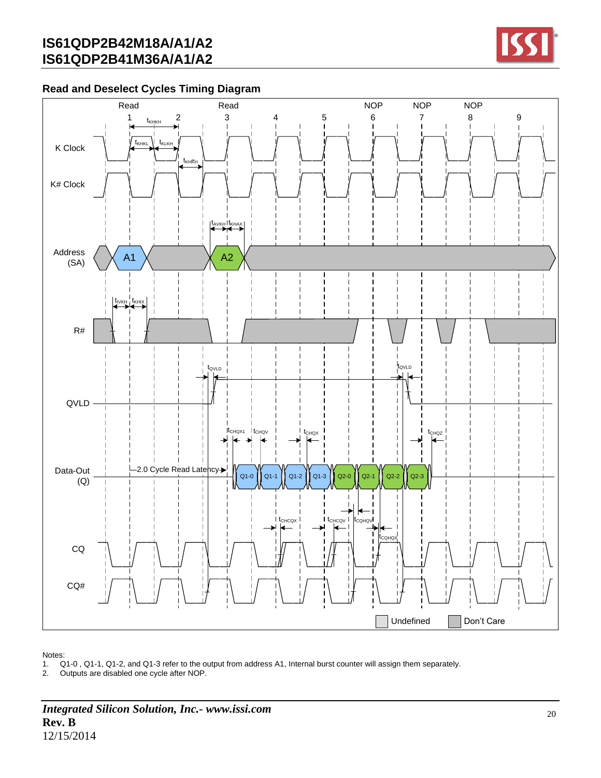

### **Read and Deselect Cycles Timing Diagram**



Notes:

1. Q1-0 , Q1-1, Q1-2, and Q1-3 refer to the output from address A1, Internal burst counter will assign them separately.

2. Outputs are disabled one cycle after NOP.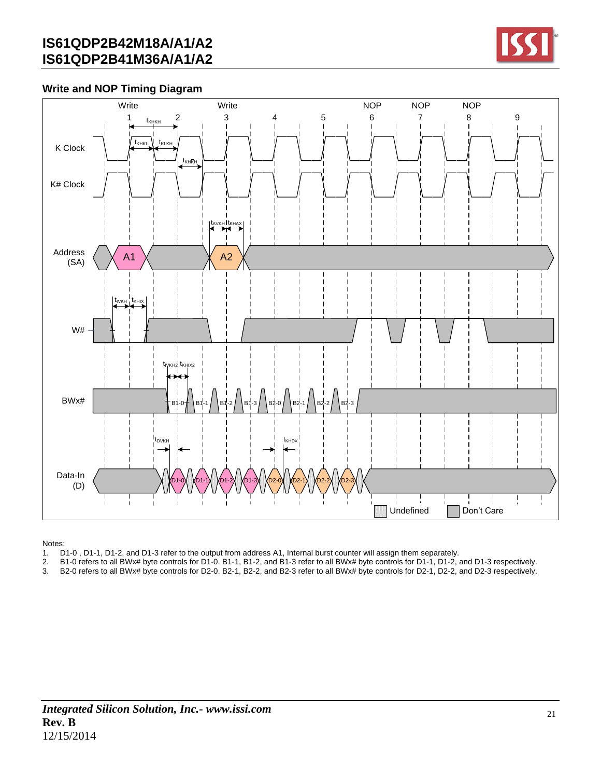

### **Write and NOP Timing Diagram**



Notes:

- 1. D1-0 , D1-1, D1-2, and D1-3 refer to the output from address A1, Internal burst counter will assign them separately.
- 2. B1-0 refers to all BWx# byte controls for D1-0. B1-1, B1-2, and B1-3 refer to all BWx# byte controls for D1-1, D1-2, and D1-3 respectively.
- 3. B2-0 refers to all BWx# byte controls for D2-0. B2-1, B2-2, and B2-3 refer to all BWx# byte controls for D2-1, D2-2, and D2-3 respectively.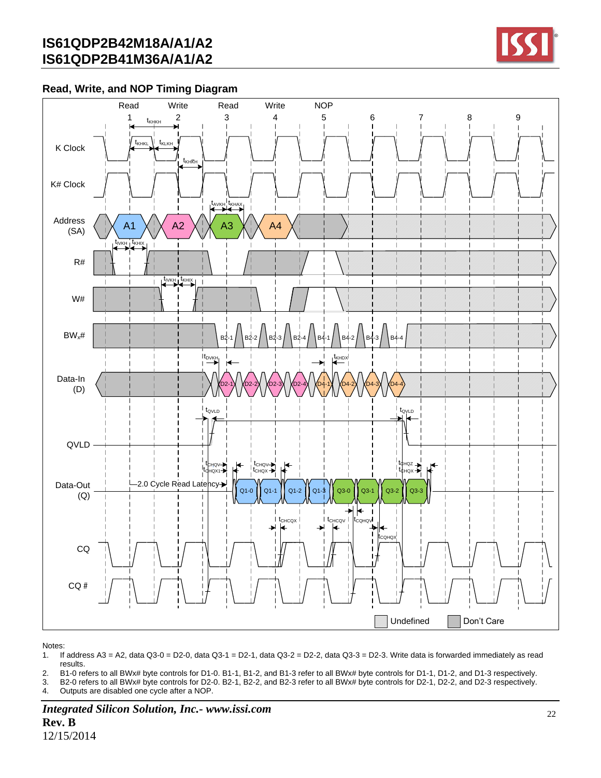

### **Read, Write, and NOP Timing Diagram**



Notes:

1. If address A3 = A2, data Q3-0 = D2-0, data Q3-1 = D2-1, data Q3-2 = D2-2, data Q3-3 = D2-3. Write data is forwarded immediately as read results.

2. B1-0 refers to all BWx# byte controls for D1-0. B1-1, B1-2, and B1-3 refer to all BWx# byte controls for D1-1, D1-2, and D1-3 respectively.

3. B2-0 refers to all BWx# byte controls for D2-0. B2-1, B2-2, and B2-3 refer to all BWx# byte controls for D2-1, D2-2, and D2-3 respectively.

4. Outputs are disabled one cycle after a NOP.

*Integrated Silicon Solution, Inc.- www.issi.com* **Rev. B** 12/15/2014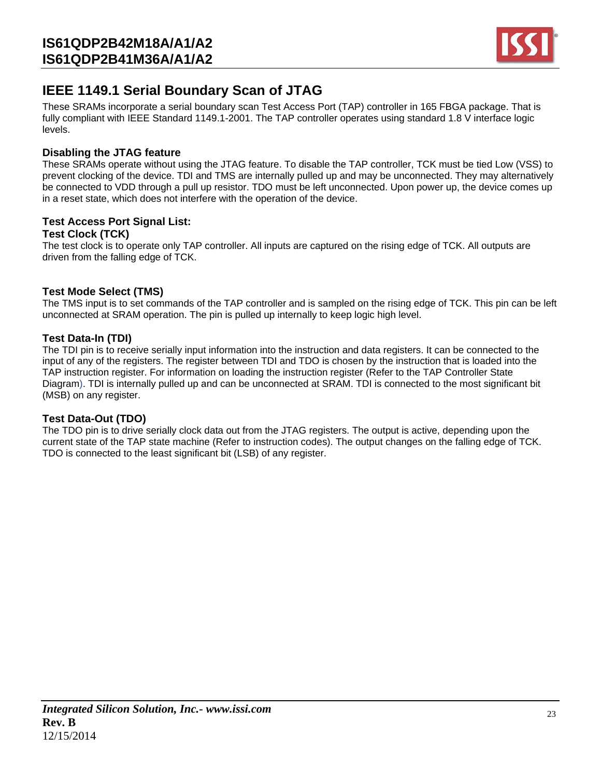

## **IEEE 1149.1 Serial Boundary Scan of JTAG**

These SRAMs incorporate a serial boundary scan Test Access Port (TAP) controller in 165 FBGA package. That is fully compliant with IEEE Standard 1149.1-2001. The TAP controller operates using standard 1.8 V interface logic levels.

### **Disabling the JTAG feature**

These SRAMs operate without using the JTAG feature. To disable the TAP controller, TCK must be tied Low (VSS) to prevent clocking of the device. TDI and TMS are internally pulled up and may be unconnected. They may alternatively be connected to VDD through a pull up resistor. TDO must be left unconnected. Upon power up, the device comes up in a reset state, which does not interfere with the operation of the device.

#### **Test Access Port Signal List: Test Clock (TCK)**

The test clock is to operate only TAP controller. All inputs are captured on the rising edge of TCK. All outputs are driven from the falling edge of TCK.

### **Test Mode Select (TMS)**

The TMS input is to set commands of the TAP controller and is sampled on the rising edge of TCK. This pin can be left unconnected at SRAM operation. The pin is pulled up internally to keep logic high level.

### **Test Data-In (TDI)**

The TDI pin is to receive serially input information into the instruction and data registers. It can be connected to the input of any of the registers. The register between TDI and TDO is chosen by the instruction that is loaded into the TAP instruction register. For information on loading the instruction register (Refer to the TAP Controller State Diagram). TDI is internally pulled up and can be unconnected at SRAM. TDI is connected to the most significant bit (MSB) on any register.

### **Test Data-Out (TDO)**

The TDO pin is to drive serially clock data out from the JTAG registers. The output is active, depending upon the current state of the TAP state machine (Refer to instruction codes). The output changes on the falling edge of TCK. TDO is connected to the least significant bit (LSB) of any register.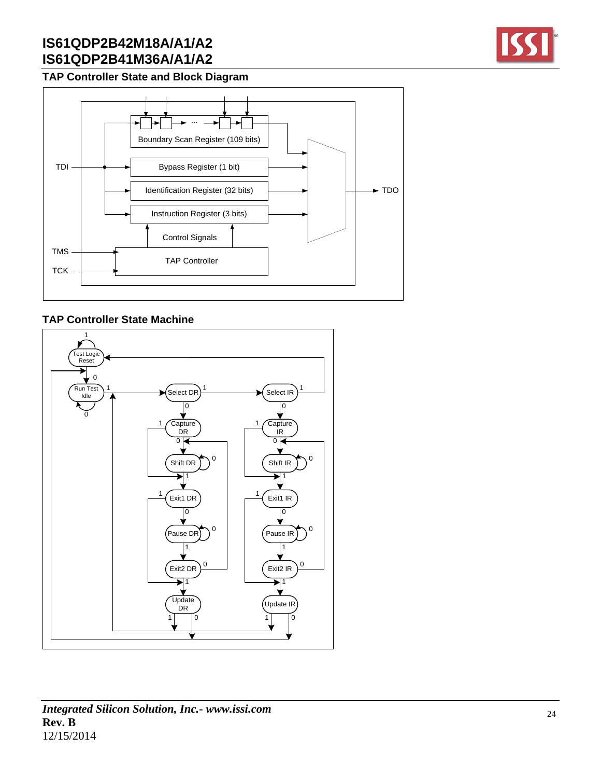

### **TAP Controller State and Block Diagram**



### **TAP Controller State Machine**



### *Integrated Silicon Solution, Inc.- www.issi.com* **Rev. B** 12/15/2014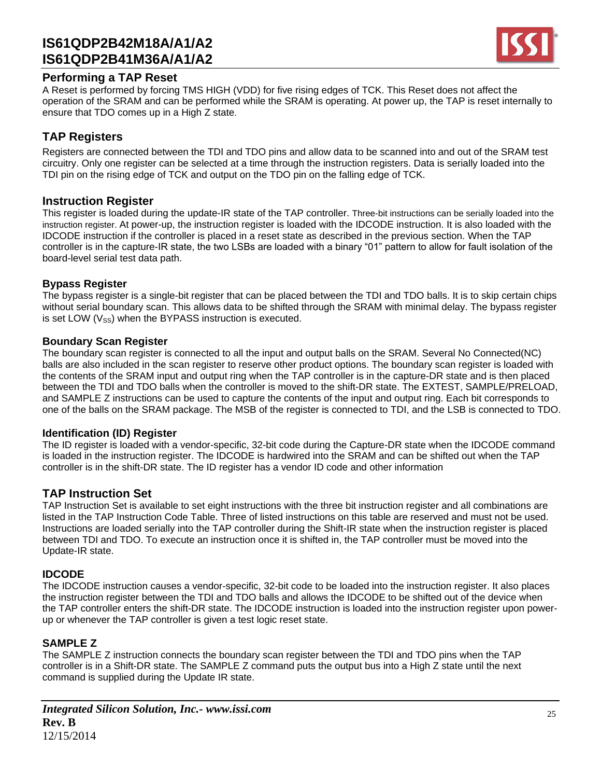

### **Performing a TAP Reset**

A Reset is performed by forcing TMS HIGH (VDD) for five rising edges of TCK. This Reset does not affect the operation of the SRAM and can be performed while the SRAM is operating. At power up, the TAP is reset internally to ensure that TDO comes up in a High Z state.

### **TAP Registers**

Registers are connected between the TDI and TDO pins and allow data to be scanned into and out of the SRAM test circuitry. Only one register can be selected at a time through the instruction registers. Data is serially loaded into the TDI pin on the rising edge of TCK and output on the TDO pin on the falling edge of TCK.

### **Instruction Register**

This register is loaded during the update-IR state of the TAP controller. Three-bit instructions can be serially loaded into the instruction register. At power-up, the instruction register is loaded with the IDCODE instruction. It is also loaded with the IDCODE instruction if the controller is placed in a reset state as described in the previous section. When the TAP controller is in the capture-IR state, the two LSBs are loaded with a binary "01" pattern to allow for fault isolation of the board-level serial test data path.

### **Bypass Register**

The bypass register is a single-bit register that can be placed between the TDI and TDO balls. It is to skip certain chips without serial boundary scan. This allows data to be shifted through the SRAM with minimal delay. The bypass register is set LOW  $(V_{SS})$  when the BYPASS instruction is executed.

#### **Boundary Scan Register**

The boundary scan register is connected to all the input and output balls on the SRAM. Several No Connected(NC) balls are also included in the scan register to reserve other product options. The boundary scan register is loaded with the contents of the SRAM input and output ring when the TAP controller is in the capture-DR state and is then placed between the TDI and TDO balls when the controller is moved to the shift-DR state. The EXTEST, SAMPLE/PRELOAD, and SAMPLE Z instructions can be used to capture the contents of the input and output ring. Each bit corresponds to one of the balls on the SRAM package. The MSB of the register is connected to TDI, and the LSB is connected to TDO.

### **Identification (ID) Register**

The ID register is loaded with a vendor-specific, 32-bit code during the Capture-DR state when the IDCODE command is loaded in the instruction register. The IDCODE is hardwired into the SRAM and can be shifted out when the TAP controller is in the shift-DR state. The ID register has a vendor ID code and other information

### **TAP Instruction Set**

TAP Instruction Set is available to set eight instructions with the three bit instruction register and all combinations are listed in the TAP Instruction Code Table. Three of listed instructions on this table are reserved and must not be used. Instructions are loaded serially into the TAP controller during the Shift-IR state when the instruction register is placed between TDI and TDO. To execute an instruction once it is shifted in, the TAP controller must be moved into the Update-IR state.

### **IDCODE**

The IDCODE instruction causes a vendor-specific, 32-bit code to be loaded into the instruction register. It also places the instruction register between the TDI and TDO balls and allows the IDCODE to be shifted out of the device when the TAP controller enters the shift-DR state. The IDCODE instruction is loaded into the instruction register upon powerup or whenever the TAP controller is given a test logic reset state.

### **SAMPLE Z**

The SAMPLE Z instruction connects the boundary scan register between the TDI and TDO pins when the TAP controller is in a Shift-DR state. The SAMPLE Z command puts the output bus into a High Z state until the next command is supplied during the Update IR state.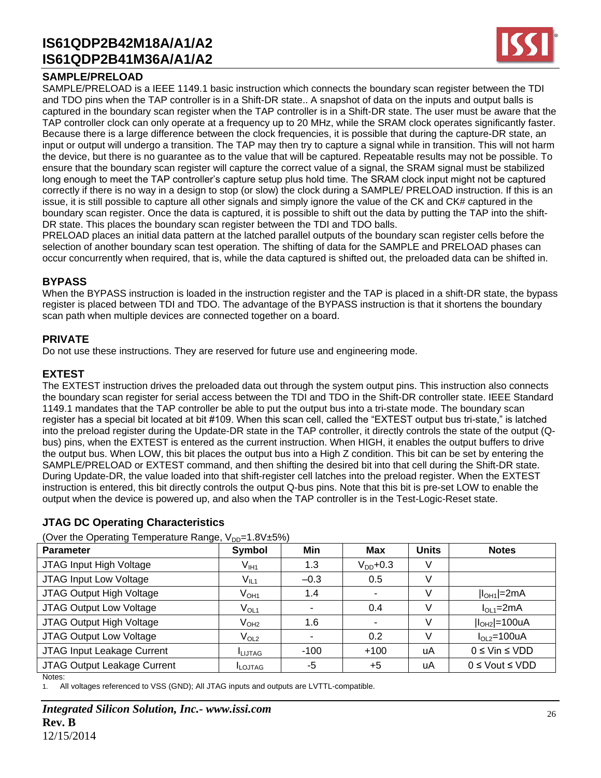### **SAMPLE/PRELOAD**

SAMPLE/PRELOAD is a IEEE 1149.1 basic instruction which connects the boundary scan register between the TDI and TDO pins when the TAP controller is in a Shift-DR state.. A snapshot of data on the inputs and output balls is captured in the boundary scan register when the TAP controller is in a Shift-DR state. The user must be aware that the TAP controller clock can only operate at a frequency up to 20 MHz, while the SRAM clock operates significantly faster. Because there is a large difference between the clock frequencies, it is possible that during the capture-DR state, an input or output will undergo a transition. The TAP may then try to capture a signal while in transition. This will not harm the device, but there is no guarantee as to the value that will be captured. Repeatable results may not be possible. To ensure that the boundary scan register will capture the correct value of a signal, the SRAM signal must be stabilized long enough to meet the TAP controller's capture setup plus hold time. The SRAM clock input might not be captured correctly if there is no way in a design to stop (or slow) the clock during a SAMPLE/ PRELOAD instruction. If this is an issue, it is still possible to capture all other signals and simply ignore the value of the CK and CK# captured in the boundary scan register. Once the data is captured, it is possible to shift out the data by putting the TAP into the shift-DR state. This places the boundary scan register between the TDI and TDO balls.

PRELOAD places an initial data pattern at the latched parallel outputs of the boundary scan register cells before the selection of another boundary scan test operation. The shifting of data for the SAMPLE and PRELOAD phases can occur concurrently when required, that is, while the data captured is shifted out, the preloaded data can be shifted in.

### **BYPASS**

When the BYPASS instruction is loaded in the instruction register and the TAP is placed in a shift-DR state, the bypass register is placed between TDI and TDO. The advantage of the BYPASS instruction is that it shortens the boundary scan path when multiple devices are connected together on a board.

#### **PRIVATE**

Do not use these instructions. They are reserved for future use and engineering mode.

#### **EXTEST**

The EXTEST instruction drives the preloaded data out through the system output pins. This instruction also connects the boundary scan register for serial access between the TDI and TDO in the Shift-DR controller state. IEEE Standard 1149.1 mandates that the TAP controller be able to put the output bus into a tri-state mode. The boundary scan register has a special bit located at bit #109. When this scan cell, called the "EXTEST output bus tri-state," is latched into the preload register during the Update-DR state in the TAP controller, it directly controls the state of the output (Qbus) pins, when the EXTEST is entered as the current instruction. When HIGH, it enables the output buffers to drive the output bus. When LOW, this bit places the output bus into a High Z condition. This bit can be set by entering the SAMPLE/PRELOAD or EXTEST command, and then shifting the desired bit into that cell during the Shift-DR state. During Update-DR, the value loaded into that shift-register cell latches into the preload register. When the EXTEST instruction is entered, this bit directly controls the output Q-bus pins. Note that this bit is pre-set LOW to enable the output when the device is powered up, and also when the TAP controller is in the Test-Logic-Reset state.

### **JTAG DC Operating Characteristics**

(Over the Operating Temperature Range,  $V_{DD}=1.8V+5\%)$ )

| - 33<br><b>Parameter</b>    | — ט י<br>Symbol  | Min    | <b>Max</b>               | <b>Units</b> | <b>Notes</b>            |
|-----------------------------|------------------|--------|--------------------------|--------------|-------------------------|
| JTAG Input High Voltage     | $V_{\text{I}H1}$ | 1.3    | $V_{DD}$ +0.3            | V            |                         |
| JTAG Input Low Voltage      | V <sub>IL1</sub> | $-0.3$ | 0.5                      | V            |                         |
| JTAG Output High Voltage    | $V_{OH1}$        | 1.4    | $\overline{\phantom{a}}$ | V            | $ I_{OH1} $ =2mA        |
| JTAG Output Low Voltage     | $V_{OL1}$        |        | 0.4                      | V            | $IOL1=2mA$              |
| JTAG Output High Voltage    | $\rm V_{OH2}$    | 1.6    | ۰                        | V            | $ I_{OH2} $ =100uA      |
| JTAG Output Low Voltage     | $V_{OL2}$        |        | 0.2                      |              | $IOL2=100uA$            |
| JTAG Input Leakage Current  | LIJTAG           | $-100$ | $+100$                   | uA           | $0 \leq$ Vin $\leq$ VDD |
| JTAG Output Leakage Current | <b>ILOJTAG</b>   | -5     | $+5$                     | uA           | $0 \le$ Vout $\le$ VDD  |

Notes:

1. All voltages referenced to VSS (GND); All JTAG inputs and outputs are LVTTL-compatible.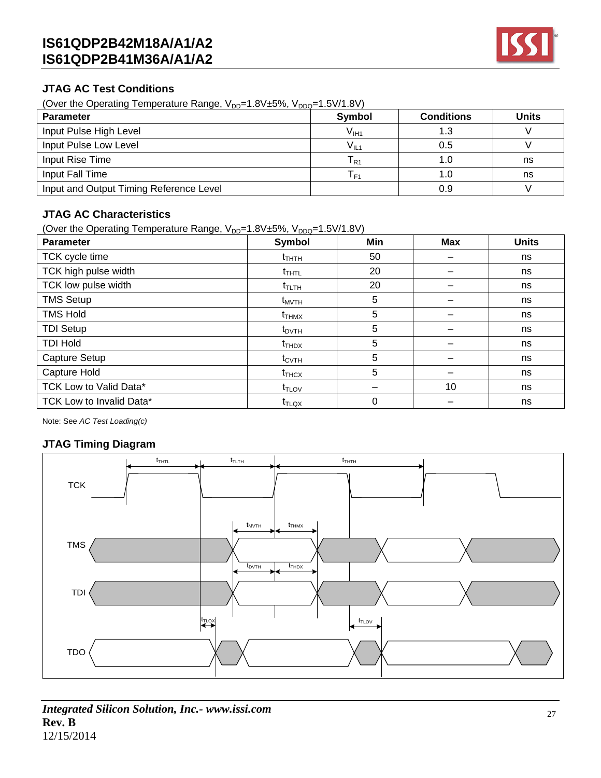

### **JTAG AC Test Conditions**

(Over the Operating Temperature Range,  $V_{DD}$ =1.8V $±5\%$ ,  $V_{DDQ}$ =1.5V/1.8V)

| <b>Parameter</b>                        | <b>Symbol</b> | <b>Conditions</b> | <b>Units</b> |
|-----------------------------------------|---------------|-------------------|--------------|
| Input Pulse High Level                  | $V_{III1}$    | 1.3               |              |
| Input Pulse Low Level                   | $V_{IL1}$     | 0.5               |              |
| Input Rise Time                         | IR1           | 1.0               | ns           |
| Input Fall Time                         | l F1          | 1.0               | ns           |
| Input and Output Timing Reference Level |               | 0.9               |              |

### **JTAG AC Characteristics**

(Over the Operating Temperature Range,  $V_{DD}=1.8V\pm5\%$ ,  $V_{DDQ}=1.5V/1.8V$ )

| <b>Parameter</b>         | Symbol            | Min | <b>Max</b> | <b>Units</b> |
|--------------------------|-------------------|-----|------------|--------------|
| TCK cycle time           | $t_{THTH}$        | 50  |            | ns           |
| TCK high pulse width     | $t_{THTL}$        | 20  |            | ns           |
| TCK low pulse width      | $t_{\text{TLTH}}$ | 20  |            | ns           |
| <b>TMS Setup</b>         | $t_{MVTH}$        | 5   |            | ns           |
| <b>TMS Hold</b>          | $t_{\text{THMX}}$ | 5   |            | ns           |
| <b>TDI Setup</b>         | $t_{\text{DVTH}}$ | 5   |            | ns           |
| <b>TDI Hold</b>          | $t_{THDX}$        | 5   |            | ns           |
| Capture Setup            | $t_{\text{CVTH}}$ | 5   |            | ns           |
| Capture Hold             | $t_{\text{THCX}}$ | 5   |            | ns           |
| TCK Low to Valid Data*   | $t_{TLOV}$        |     | 10         | ns           |
| TCK Low to Invalid Data* | $t_{\text{TLQX}}$ | 0   |            | ns           |

Note: See *AC Test Loading(c)*

### **JTAG Timing Diagram**

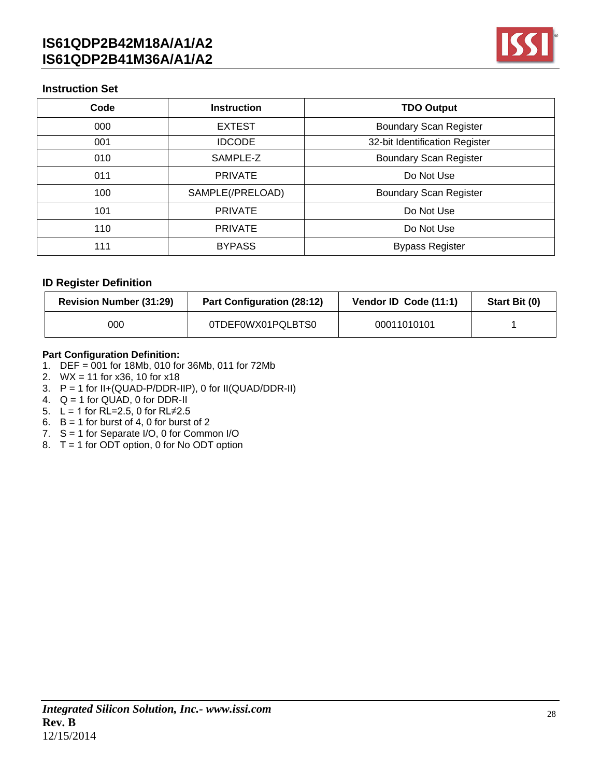

### **Instruction Set**

| Code | <b>Instruction</b> | <b>TDO Output</b>              |
|------|--------------------|--------------------------------|
| 000  | <b>EXTEST</b>      | <b>Boundary Scan Register</b>  |
| 001  | <b>IDCODE</b>      | 32-bit Identification Register |
| 010  | SAMPLE-Z           | <b>Boundary Scan Register</b>  |
| 011  | <b>PRIVATE</b>     | Do Not Use                     |
| 100  | SAMPLE(/PRELOAD)   | <b>Boundary Scan Register</b>  |
| 101  | <b>PRIVATE</b>     | Do Not Use                     |
| 110  | <b>PRIVATE</b>     | Do Not Use                     |
| 111  | <b>BYPASS</b>      | <b>Bypass Register</b>         |

### **ID Register Definition**

| <b>Revision Number (31:29)</b> | <b>Part Configuration (28:12)</b> | Vendor ID Code (11:1) | Start Bit (0) |
|--------------------------------|-----------------------------------|-----------------------|---------------|
| 000                            | 0TDEF0WX01PQLBTS0                 | 00011010101           |               |

#### **Part Configuration Definition:**

- 1. DEF = 001 for 18Mb, 010 for 36Mb, 011 for 72Mb
- 2. WX = 11 for x36, 10 for x18
- 3.  $P = 1$  for II+(QUAD-P/DDR-IIP), 0 for II(QUAD/DDR-II)
- 4. Q = 1 for QUAD, 0 for DDR-II
- 5.  $L = 1$  for RL=2.5, 0 for RL $\neq$ 2.5
- 6.  $B = 1$  for burst of 4, 0 for burst of 2
- 7. S = 1 for Separate I/O, 0 for Common I/O
- 8. T = 1 for ODT option, 0 for No ODT option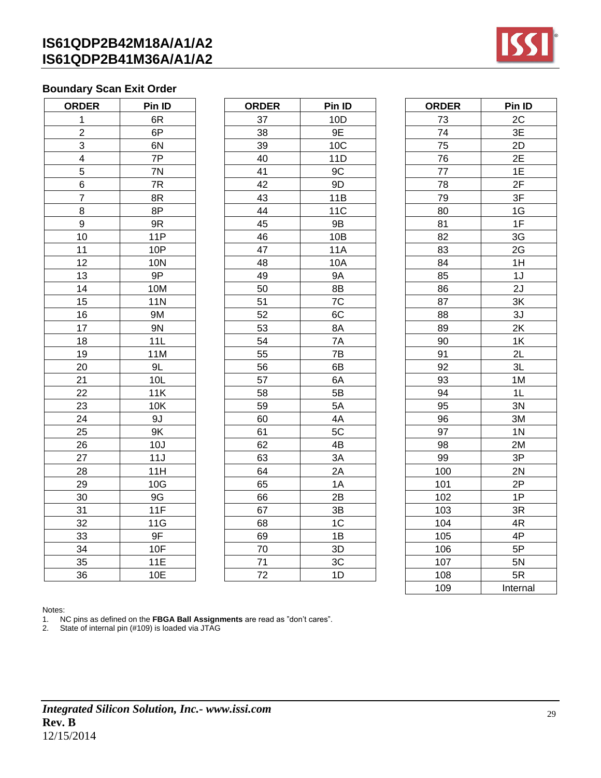

### **Boundary Scan Exit Order**

| <b>ORDER</b>    | Pin ID            |  |  |
|-----------------|-------------------|--|--|
| 1               | 6R                |  |  |
| $\overline{a}$  | 6P                |  |  |
| $\overline{3}$  | 6N                |  |  |
| $\overline{4}$  | 7P                |  |  |
| $\overline{5}$  | 7N                |  |  |
| 6               | 7R                |  |  |
| $\overline{7}$  | 8R                |  |  |
| 8               | 8P                |  |  |
| 9               | 9R                |  |  |
| 10              | <b>11P</b>        |  |  |
| 11              | 10P               |  |  |
| 12              | <b>10N</b>        |  |  |
| 13              | 9P                |  |  |
| 14              | 10M               |  |  |
| 15              | <b>11N</b>        |  |  |
| 16              | 9M                |  |  |
| 17              | 9N                |  |  |
| 18              | 11L               |  |  |
| 19              | 11M               |  |  |
| 20              | 9L                |  |  |
| 21              | 10L               |  |  |
| $\overline{22}$ | $\overline{1}$ 1K |  |  |
| $\overline{23}$ | 10K               |  |  |
| 24              | 9J                |  |  |
| $\frac{25}{5}$  | 9K                |  |  |
| $\frac{26}{5}$  | 10J               |  |  |
| 27              | 11J               |  |  |
| 28              | 11H               |  |  |
| 29              | 10G               |  |  |
| 30              | 9G                |  |  |
| 31              | 11F               |  |  |
| 32              | 11G               |  |  |
| 33              | $9F$              |  |  |
| 34              | 10F               |  |  |
| 35              | 11E               |  |  |
| 36              | 10E               |  |  |

| <b>ORDER</b>            | Pin ID     | <b>ORDER</b> | Pin ID     | <b>ORDER</b> | Pin ID         |
|-------------------------|------------|--------------|------------|--------------|----------------|
| 1                       | 6R         | 37           | 10D        | 73           | 2C             |
| $\overline{c}$          | 6P         | 38           | 9E         | 74           | 3E             |
| 3                       | 6N         | 39           | 10C        | 75           | 2D             |
| $\overline{\mathbf{4}}$ | 7P         | 40           | 11D        | 76           | 2E             |
| 5                       | 7N         | 41           | 9C         | 77           | 1E             |
| 6                       | 7R         | 42           | 9D         | 78           | 2F             |
| $\overline{7}$          | 8R         | 43           | 11B        | 79           | 3F             |
| 8                       | 8P         | 44           | <b>11C</b> | 80           | 1G             |
| 9                       | 9R         | 45           | 9B         | 81           | 1F             |
| 10                      | 11P        | 46           | 10B        | 82           | 3G             |
| 11                      | 10P        | 47           | <b>11A</b> | 83           | 2G             |
| 12                      | <b>10N</b> | 48           | 10A        | 84           | 1H             |
| 13                      | 9P         | 49           | <b>9A</b>  | 85           | 1J             |
| 14                      | 10M        | 50           | 8B         | 86           | 2J             |
| 15                      | <b>11N</b> | 51           | 7C         | 87           | 3K             |
| 16                      | 9M         | 52           | 6C         | 88           | 3J             |
| 17                      | 9N         | 53           | 8A         | 89           | 2K             |
| 18                      | 11L        | 54           | 7A         | 90           | 1K             |
| 19                      | 11M        | 55           | 7B         | 91           | 2L             |
| 20                      | 9L         | 56           | 6B         | 92           | 3L             |
| 21                      | 10L        | 57           | 6A         | 93           | 1M             |
| 22                      | 11K        | 58           | 5B         | 94           | 1L             |
| 23                      | 10K        | 59           | 5A         | 95           | 3N             |
| 24                      | 9J         | 60           | 4A         | 96           | 3M             |
| 25                      | 9K         | 61           | 5C         | 97           | 1 <sub>N</sub> |
| 26                      | 10J        | 62           | 4B         | 98           | 2M             |
| 27                      | 11J        | 63           | 3A         | 99           | 3P             |
| 28                      | 11H        | 64           | 2A         | 100          | 2N             |
| 29                      | 10G        | 65           | 1A         | 101          | 2P             |
| 30                      | 9G         | 66           | 2B         | 102          | 1P             |
| 31                      | 11F        | 67           | 3B         | 103          | 3R             |
| 32                      | 11G        | 68           | 1C         | 104          | 4R             |
| 33                      | 9F         | 69           | 1B         | 105          | 4P             |
| 34                      | 10F        | 70           | 3D         | 106          | 5P             |
| 35                      | 11E        | 71           | 3C         | 107          | 5N             |
| 36                      | 10E        | 72           | 1D         | 108          | 5R             |

| <b>ORDER</b> | Pin ID         |  |  |
|--------------|----------------|--|--|
| 73           | 2C             |  |  |
| 74           | 3E             |  |  |
| 75           | 2D             |  |  |
| 76           | 2E             |  |  |
| 77           | 1E             |  |  |
| 78           | 2F             |  |  |
| 79           | 3F             |  |  |
| 80           | 1G             |  |  |
| 81           | 1F             |  |  |
| 82           | 3G             |  |  |
| 83           | 2G             |  |  |
| 84           | 1H             |  |  |
| 85           | 1J             |  |  |
| 86           | 2J             |  |  |
| 87           | 3K             |  |  |
| 88           | 3J             |  |  |
| 89           | 2K             |  |  |
| 90           | 1K             |  |  |
| 91           | 2L             |  |  |
| 92           | 3L             |  |  |
| 93           | 1M             |  |  |
| 94           | 1L             |  |  |
| 95           | 3N             |  |  |
| 96           | 3M             |  |  |
| 97           | 1 <sub>N</sub> |  |  |
| 98           | 2M             |  |  |
| 99           | 3P             |  |  |
| 100          | 2N             |  |  |
| 101          | 2P             |  |  |
| 102          | 1P             |  |  |
| 103          | 3R             |  |  |
| 104          | 4R             |  |  |
| 105          | 4P             |  |  |
| 106          | 5P             |  |  |
| 107          | 5N             |  |  |
| 108          | 5R             |  |  |
| 109          | Internal       |  |  |

Notes:

1. NC pins as defined on the **FBGA Ball Assignments** are read as "don't cares".

2. State of internal pin (#109) is loaded via JTAG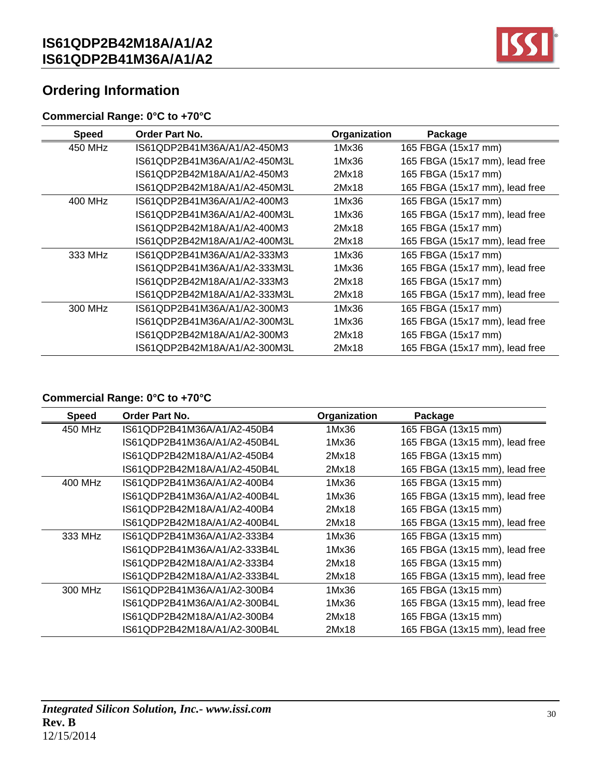

# **Ordering Information**

### **Commercial Range: 0°C to +70°C**

| <b>Speed</b> | <b>Order Part No.</b>        | Organization | Package                        |
|--------------|------------------------------|--------------|--------------------------------|
| 450 MHz      | IS61QDP2B41M36A/A1/A2-450M3  | 1Mx36        | 165 FBGA (15x17 mm)            |
|              | IS61QDP2B41M36A/A1/A2-450M3L | 1Mx36        | 165 FBGA (15x17 mm), lead free |
|              | IS61QDP2B42M18A/A1/A2-450M3  | 2Mx18        | 165 FBGA (15x17 mm)            |
|              | IS61QDP2B42M18A/A1/A2-450M3L | 2Mx18        | 165 FBGA (15x17 mm), lead free |
| 400 MHz      | IS61QDP2B41M36A/A1/A2-400M3  | 1Mx36        | 165 FBGA (15x17 mm)            |
|              | IS61QDP2B41M36A/A1/A2-400M3L | 1Mx36        | 165 FBGA (15x17 mm), lead free |
|              | IS61QDP2B42M18A/A1/A2-400M3  | 2Mx18        | 165 FBGA (15x17 mm)            |
|              | IS61QDP2B42M18A/A1/A2-400M3L | 2Mx18        | 165 FBGA (15x17 mm), lead free |
| 333 MHz      | IS61QDP2B41M36A/A1/A2-333M3  | 1Mx36        | 165 FBGA (15x17 mm)            |
|              | IS61QDP2B41M36A/A1/A2-333M3L | 1Mx36        | 165 FBGA (15x17 mm), lead free |
|              | IS61QDP2B42M18A/A1/A2-333M3  | 2Mx18        | 165 FBGA (15x17 mm)            |
|              | IS61QDP2B42M18A/A1/A2-333M3L | 2Mx18        | 165 FBGA (15x17 mm), lead free |
| 300 MHz      | IS61QDP2B41M36A/A1/A2-300M3  | 1Mx36        | 165 FBGA (15x17 mm)            |
|              | IS61QDP2B41M36A/A1/A2-300M3L | 1Mx36        | 165 FBGA (15x17 mm), lead free |
|              | IS61QDP2B42M18A/A1/A2-300M3  | 2Mx18        | 165 FBGA (15x17 mm)            |
|              | IS61QDP2B42M18A/A1/A2-300M3L | 2Mx18        | 165 FBGA (15x17 mm), lead free |

### **Commercial Range: 0°C to +70°C**

| <b>Speed</b> | Order Part No.               | Organization | Package                        |
|--------------|------------------------------|--------------|--------------------------------|
| 450 MHz      | IS61QDP2B41M36A/A1/A2-450B4  | 1Mx36        | 165 FBGA (13x15 mm)            |
|              | IS61QDP2B41M36A/A1/A2-450B4L | 1Mx36        | 165 FBGA (13x15 mm), lead free |
|              | IS61QDP2B42M18A/A1/A2-450B4  | 2Mx18        | 165 FBGA (13x15 mm)            |
|              | IS61QDP2B42M18A/A1/A2-450B4L | 2Mx18        | 165 FBGA (13x15 mm), lead free |
| 400 MHz      | IS61QDP2B41M36A/A1/A2-400B4  | 1Mx36        | 165 FBGA (13x15 mm)            |
|              | IS61QDP2B41M36A/A1/A2-400B4L | 1Mx36        | 165 FBGA (13x15 mm), lead free |
|              | IS61QDP2B42M18A/A1/A2-400B4  | 2Mx18        | 165 FBGA (13x15 mm)            |
|              | IS61QDP2B42M18A/A1/A2-400B4L | 2Mx18        | 165 FBGA (13x15 mm), lead free |
| 333 MHz      | IS61QDP2B41M36A/A1/A2-333B4  | 1Mx36        | 165 FBGA (13x15 mm)            |
|              | IS61QDP2B41M36A/A1/A2-333B4L | 1Mx36        | 165 FBGA (13x15 mm), lead free |
|              | IS61QDP2B42M18A/A1/A2-333B4  | 2Mx18        | 165 FBGA (13x15 mm)            |
|              | IS61QDP2B42M18A/A1/A2-333B4L | 2Mx18        | 165 FBGA (13x15 mm), lead free |
| 300 MHz      | IS61QDP2B41M36A/A1/A2-300B4  | 1Mx36        | 165 FBGA (13x15 mm)            |
|              | IS61QDP2B41M36A/A1/A2-300B4L | 1Mx36        | 165 FBGA (13x15 mm), lead free |
|              | IS61QDP2B42M18A/A1/A2-300B4  | 2Mx18        | 165 FBGA (13x15 mm)            |
|              | IS61QDP2B42M18A/A1/A2-300B4L | 2Mx18        | 165 FBGA (13x15 mm), lead free |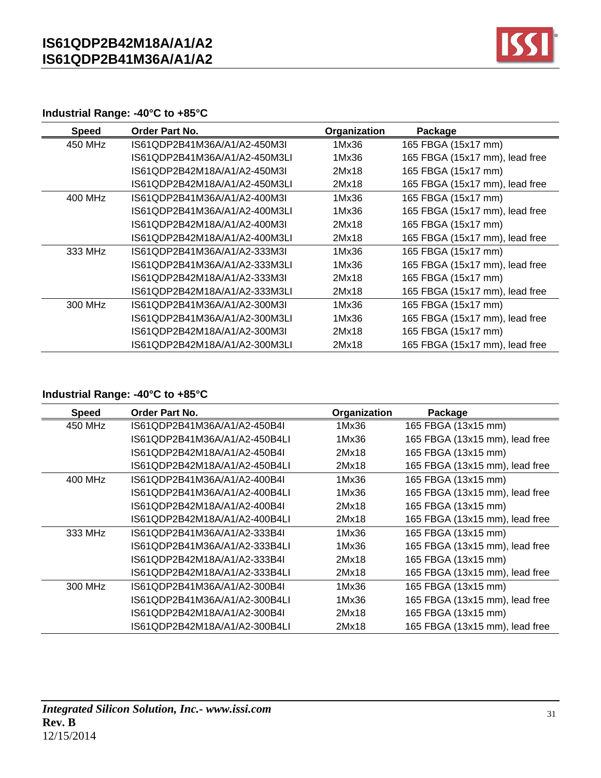

### **Industrial Range: -40°C to +85°C**

| <b>Speed</b> | <b>Order Part No.</b>         | Organization | Package                        |
|--------------|-------------------------------|--------------|--------------------------------|
| 450 MHz      | IS61QDP2B41M36A/A1/A2-450M3L  | 1Mx36        | 165 FBGA (15x17 mm)            |
|              | IS61QDP2B41M36A/A1/A2-450M3LI | 1Mx36        | 165 FBGA (15x17 mm), lead free |
|              | IS61QDP2B42M18A/A1/A2-450M3L  | 2Mx18        | 165 FBGA (15x17 mm)            |
|              | IS61QDP2B42M18A/A1/A2-450M3LI | 2Mx18        | 165 FBGA (15x17 mm), lead free |
| 400 MHz      | IS61QDP2B41M36A/A1/A2-400M3I  | 1Mx36        | 165 FBGA (15x17 mm)            |
|              | IS61QDP2B41M36A/A1/A2-400M3LI | 1Mx36        | 165 FBGA (15x17 mm), lead free |
|              | IS61QDP2B42M18A/A1/A2-400M3I  | 2Mx18        | 165 FBGA (15x17 mm)            |
|              | IS61QDP2B42M18A/A1/A2-400M3LI | 2Mx18        | 165 FBGA (15x17 mm), lead free |
| 333 MHz      | IS61QDP2B41M36A/A1/A2-333M3I  | 1Mx36        | 165 FBGA (15x17 mm)            |
|              | IS61QDP2B41M36A/A1/A2-333M3LI | 1Mx36        | 165 FBGA (15x17 mm), lead free |
|              | IS61QDP2B42M18A/A1/A2-333M3I  | 2Mx18        | 165 FBGA (15x17 mm)            |
|              | IS61QDP2B42M18A/A1/A2-333M3LI | 2Mx18        | 165 FBGA (15x17 mm), lead free |
| 300 MHz      | IS61QDP2B41M36A/A1/A2-300M3L  | 1Mx36        | 165 FBGA (15x17 mm)            |
|              | IS61QDP2B41M36A/A1/A2-300M3LI | 1Mx36        | 165 FBGA (15x17 mm), lead free |
|              | IS61QDP2B42M18A/A1/A2-300M3I  | 2Mx18        | 165 FBGA (15x17 mm)            |
|              | IS61QDP2B42M18A/A1/A2-300M3LI | 2Mx18        | 165 FBGA (15x17 mm), lead free |

### **Industrial Range: -40°C to +85°C**

| Speed   | <b>Order Part No.</b>         | Organization | Package                        |
|---------|-------------------------------|--------------|--------------------------------|
| 450 MHz | IS61QDP2B41M36A/A1/A2-450B4I  | 1Mx36        | 165 FBGA (13x15 mm)            |
|         | IS61QDP2B41M36A/A1/A2-450B4LI | 1Mx36        | 165 FBGA (13x15 mm), lead free |
|         | IS61QDP2B42M18A/A1/A2-450B4I  | 2Mx18        | 165 FBGA (13x15 mm)            |
|         | IS61QDP2B42M18A/A1/A2-450B4LI | 2Mx18        | 165 FBGA (13x15 mm), lead free |
| 400 MHz | IS61QDP2B41M36A/A1/A2-400B4I  | 1Mx36        | 165 FBGA (13x15 mm)            |
|         | IS61QDP2B41M36A/A1/A2-400B4LI | 1Mx36        | 165 FBGA (13x15 mm), lead free |
|         | IS61QDP2B42M18A/A1/A2-400B4I  | 2Mx18        | 165 FBGA (13x15 mm)            |
|         | IS61QDP2B42M18A/A1/A2-400B4LI | 2Mx18        | 165 FBGA (13x15 mm), lead free |
| 333 MHz | IS61QDP2B41M36A/A1/A2-333B4I  | 1Mx36        | 165 FBGA (13x15 mm)            |
|         | IS61QDP2B41M36A/A1/A2-333B4LI | 1Mx36        | 165 FBGA (13x15 mm), lead free |
|         | IS61QDP2B42M18A/A1/A2-333B4I  | 2Mx18        | 165 FBGA (13x15 mm)            |
|         | IS61QDP2B42M18A/A1/A2-333B4LI | 2Mx18        | 165 FBGA (13x15 mm), lead free |
| 300 MHz | IS61QDP2B41M36A/A1/A2-300B4I  | 1Mx36        | 165 FBGA (13x15 mm)            |
|         | IS61QDP2B41M36A/A1/A2-300B4LI | 1Mx36        | 165 FBGA (13x15 mm), lead free |
|         | IS61QDP2B42M18A/A1/A2-300B4I  | 2Mx18        | 165 FBGA (13x15 mm)            |
|         | IS61QDP2B42M18A/A1/A2-300B4LI | 2Mx18        | 165 FBGA (13x15 mm), lead free |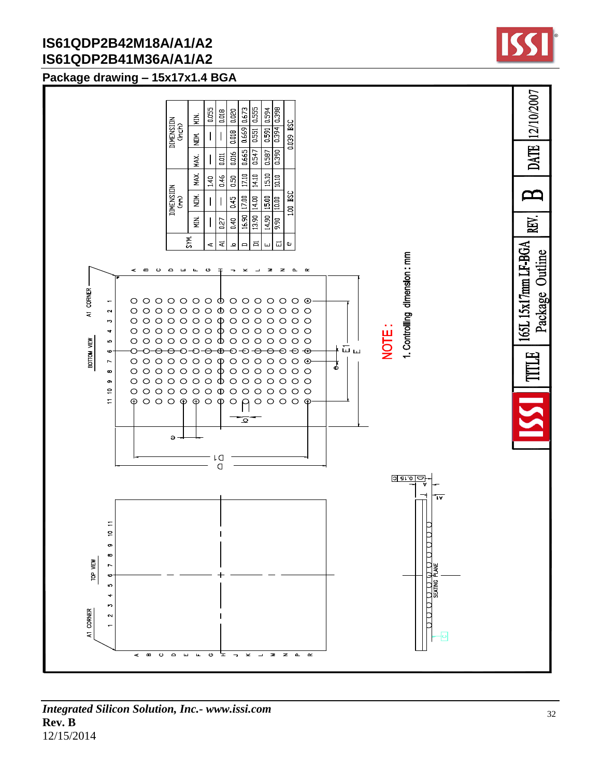### **Package drawing – 15x17x1.4 BGA**